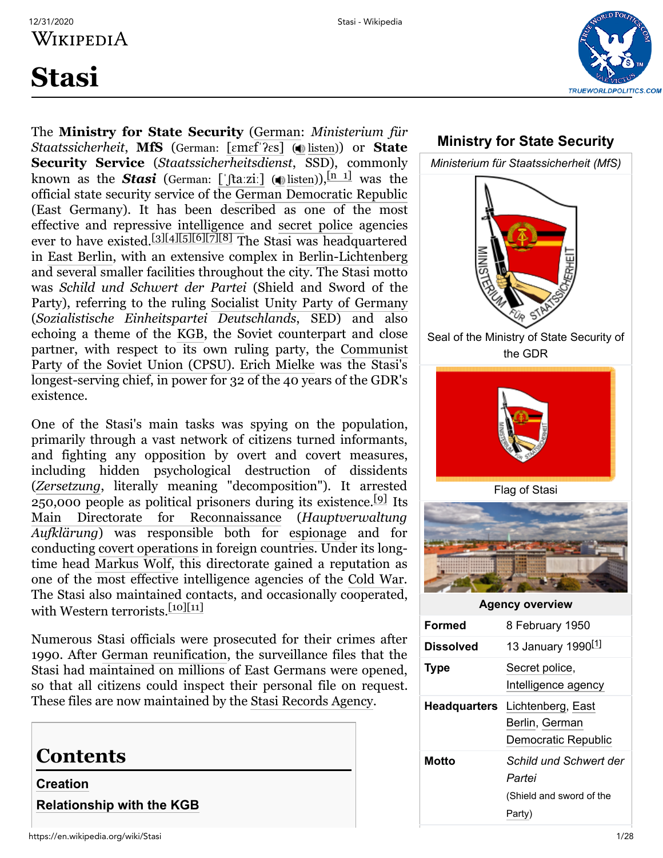

# **Stasi**

The **Ministry for State Security** [\(German:](https://en.wikipedia.org/wiki/German_language) *Ministerium für Staatssicherheit*, **MfS** (German: [ɛmɛf[ˈʔɛ](https://en.wikipedia.org/wiki/Help:IPA/Standard_German)s] ( [listen\)](https://upload.wikimedia.org/wikipedia/commons/5/55/De-MfS.ogg)) or **State Security Service** (*Staatssicherheitsdienst*, SSD), commonly known as the **S[ta](https://en.wikipedia.org/wiki/Help:IPA/Standard_German)si** (German: [' $\int$ ta:zi:] ( ) [listen](https://upload.wikimedia.org/wikipedia/commons/9/96/De-Stasi.ogg))),  $\frac{\ln 1}{\ln 1}$  was the official state security service of the [German Democratic Republic](https://en.wikipedia.org/wiki/East_Germany) (East Germany). It has been described as one of the most effective and repressive [intelligence](https://en.wikipedia.org/wiki/Intelligence_agency) and [secret police](https://en.wikipedia.org/wiki/Secret_police) agencies ever to have existed.<sup>[\[3\]](#page-20-2)[\[4\]](#page-20-3)[\[5\]](#page-20-4)[\[6\]](#page-20-5)[\[7\]](#page-20-6)[\[8\]](#page-20-7)</sup> The Stasi was headquartered in [East Berlin](https://en.wikipedia.org/wiki/East_Berlin), with an extensive complex in [Berlin-Lichtenberg](https://en.wikipedia.org/wiki/Lichtenberg) and several smaller facilities throughout the city. The Stasi motto was *Schild und Schwert der Partei* (Shield and Sword of the Party), referring to the ruling [Socialist Unity Party of Germany](https://en.wikipedia.org/wiki/Socialist_Unity_Party_of_Germany) (*Sozialistische Einheitspartei Deutschlands*, SED) and also echoing a theme of the [KGB,](https://en.wikipedia.org/wiki/KGB) the Soviet counterpart and close [partner, with respect to its own ruling party, the Communist](https://en.wikipedia.org/wiki/Communist_Party_of_the_Soviet_Union) Party of the Soviet Union (CPSU). [Erich Mielke](https://en.wikipedia.org/wiki/Erich_Mielke) was the Stasi's longest-serving chief, in power for 32 of the 40 years of the GDR's existence.

One of the Stasi's main tasks was spying on the population, primarily through a vast network of citizens turned informants, and fighting any opposition by overt and covert measures, including hidden psychological destruction of dissidents (*[Zersetzung](https://en.wikipedia.org/wiki/Zersetzung)*, literally meaning "decomposition"). It arrested 250,000 people as political prisoners during its existence.<sup>[\[9\]](#page-20-8)</sup> Its [Main Directorate for Reconnaissance](https://en.wikipedia.org/wiki/Main_Directorate_for_Reconnaissance) (*Hauptverwaltung Aufklärung*) was responsible both for [espionage](https://en.wikipedia.org/wiki/Espionage) and for conducting [covert operations](https://en.wikipedia.org/wiki/Covert_operation) in foreign countries. Under its longtime head [Markus Wolf](https://en.wikipedia.org/wiki/Markus_Wolf), this directorate gained a reputation as one of the most effective intelligence agencies of the [Cold War](https://en.wikipedia.org/wiki/Cold_War). The Stasi also maintained contacts, and occasionally cooperated, with Western terrorists.<sup>[\[10\]](#page-20-9)[\[11\]](#page-20-10)</sup>

Numerous Stasi officials were prosecuted for their crimes after 1990. After [German reunification,](https://en.wikipedia.org/wiki/German_reunification) the surveillance files that the Stasi had maintained on millions of East Germans were opened, so that all citizens could inspect their personal file on request. These files are now maintained by the [Stasi Records Agency.](https://en.wikipedia.org/wiki/Stasi_Records_Agency)

## **Contents**

**[Creation](#page-1-0) [Relationship with the KGB](#page-2-0)**

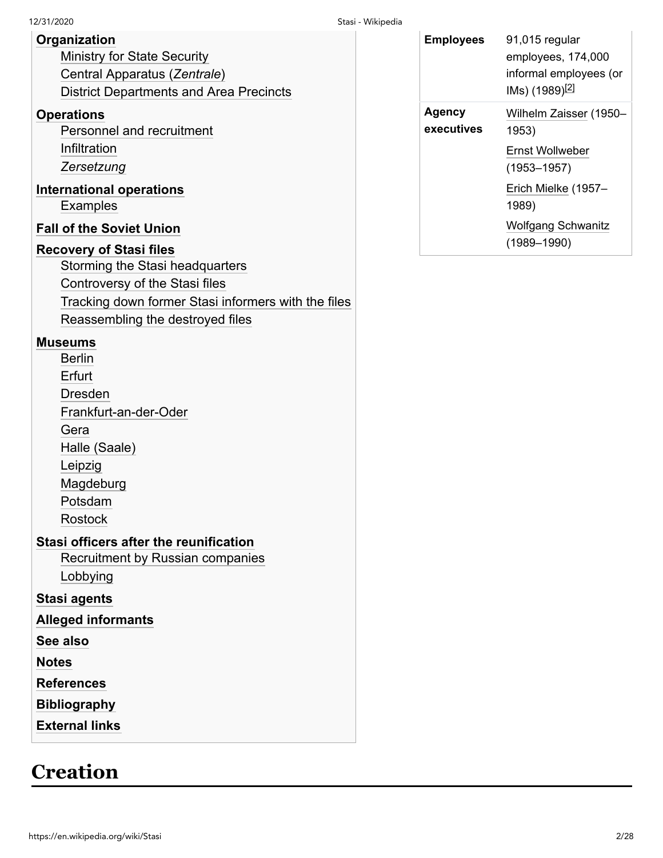#### **[Organization](#page-2-1)**

[Ministry for State Security](#page-2-2) [Central Apparatus \(](#page-3-0)*Zentrale*) [District Departments and Area Precincts](#page-4-0)

#### **[Operations](#page-8-0)**

[Personnel and recruitment](#page-8-1) [Infiltration](#page-8-2) *[Zersetzung](#page-9-0)*

#### **[International operations](#page-10-0)**

[Examples](#page-10-1)

#### **[Fall of the Soviet Union](#page-11-0)**

#### **[Recovery of Stasi files](#page-12-0)**

[Storming the Stasi headquarters](#page-13-0)

[Controversy of the Stasi files](#page-13-1)

[Tracking down former Stasi informers with the files](#page-14-0)

[Reassembling the destroyed files](#page-14-1)

#### **[Museums](#page-14-2)**

[Berlin](#page-14-3) [Erfurt](#page-15-0) [Dresden](#page-15-1) [Frankfurt-an-der-Oder](#page-15-2) [Gera](#page-16-0) [Halle \(Saale\)](#page-16-1) [Leipzig](#page-16-2) [Magdeburg](#page-17-0) [Potsdam](#page-17-1) [Rostock](#page-17-2)

#### **[Stasi officers after the reunification](#page-18-0)**

[Recruitment by Russian companies](#page-18-1) [Lobbying](#page-18-2)

#### **[Stasi agents](#page-18-3)**

**[Alleged informants](#page-18-4)**

**[See also](#page-19-0)**

**[Notes](#page-20-12)**

**[References](#page-20-13)**

**[Bibliography](#page-26-0)**

**[External links](#page-27-0)**

## <span id="page-1-0"></span>**Creation**

| <b>Employees</b>     | 91,015 regular<br>employees, 174,000<br>informal employees (or<br>IMs) (1989) <sup>[2]</sup> |
|----------------------|----------------------------------------------------------------------------------------------|
| Agency<br>executives | Wilhelm Zaisser (1950-<br>1953)                                                              |
|                      | Ernst Wollweber<br>$(1953 - 1957)$                                                           |
|                      | Erich Mielke (1957-<br>1989)                                                                 |
|                      | <b>Wolfgang Schwanitz</b><br>$(1989 - 1990)$                                                 |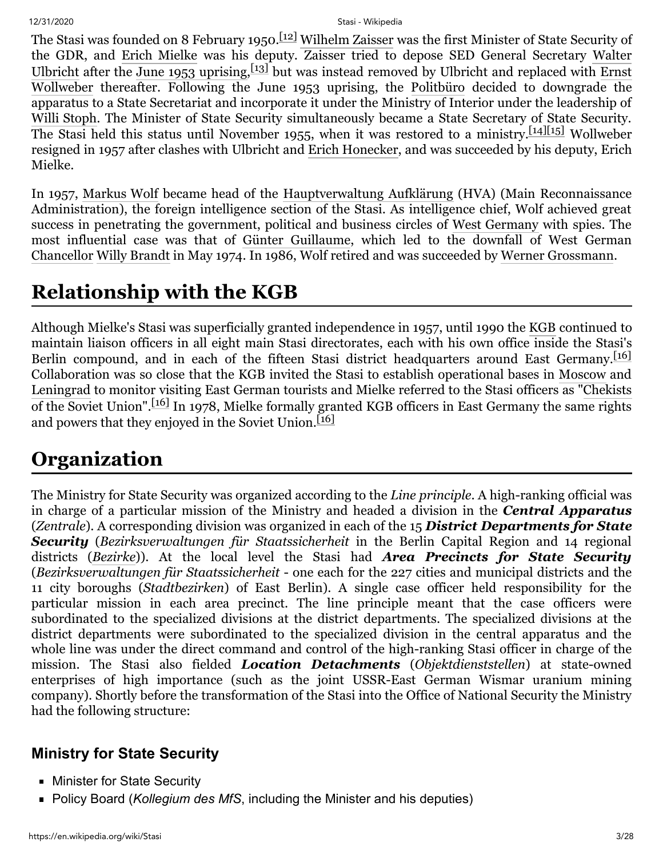The Stasi was founded on 8 February 1950.<sup>[\[12\]](#page-20-14)</sup> [Wilhelm Zaisser](https://en.wikipedia.org/wiki/Wilhelm_Zaisser) was the first Minister of State Security of the GDR, and [Erich Mielke](https://en.wikipedia.org/wiki/Erich_Mielke) [was his deputy. Zaisser tried to depose SED General Secretary Walter](https://en.wikipedia.org/wiki/Walter_Ulbricht) Ulbricht after the [June 1953 uprising](https://en.wikipedia.org/wiki/Uprising_of_1953_in_East_Germany),  $\left[13\right]$  but was instead removed by Ulbricht and replaced with Ernst Wollweber [thereafter. Following the June 1953 uprising, the Politbüro](https://en.wikipedia.org/wiki/Ernst_Wollweber) decided to downgrade the apparatus to a State Secretariat and incorporate it under the Ministry of Interior under the leadership of [Willi Stoph.](https://en.wikipedia.org/wiki/Willi_Stoph) The Minister of State Security simultaneously became a State Secretary of State Security. The Stasi held this status until November 1955, when it was restored to a ministry.<sup>[\[14\]](#page-20-16)[\[15\]](#page-20-17)</sup> Wollweber resigned in 1957 after clashes with Ulbricht and [Erich Honecker,](https://en.wikipedia.org/wiki/Erich_Honecker) and was succeeded by his deputy, Erich Mielke.

In 1957, [Markus Wolf](https://en.wikipedia.org/wiki/Markus_Wolf) became head of the [Hauptverwaltung Aufklärung](https://en.wikipedia.org/wiki/General_Reconnaissance_Administration) (HVA) (Main Reconnaissance Administration), the foreign intelligence section of the Stasi. As intelligence chief, Wolf achieved great success in penetrating the government, political and business circles of [West Germany](https://en.wikipedia.org/wiki/West_Germany) with spies. The most influential case was that of [Günter Guillaume,](https://en.wikipedia.org/wiki/G%C3%BCnter_Guillaume) which led to the downfall of West German [Chancellor](https://en.wikipedia.org/wiki/Chancellor_of_Germany_(Federal_Republic)) [Willy Brandt](https://en.wikipedia.org/wiki/Willy_Brandt) in May 1974. In 1986, Wolf retired and was succeeded by [Werner Grossmann](https://en.wikipedia.org/wiki/Werner_Grossmann).

## <span id="page-2-0"></span>**Relationship with the KGB**

Although Mielke's Stasi was superficially granted independence in 1957, until 1990 the [KGB](https://en.wikipedia.org/wiki/KGB) continued to maintain liaison officers in all eight main Stasi directorates, each with his own office inside the Stasi's Berlin compound, and in each of the fifteen Stasi district headquarters around East Germany.<sup>[\[16\]](#page-20-18)</sup> Collaboration was so close that the KGB invited the Stasi to establish operational bases in [Moscow](https://en.wikipedia.org/wiki/Moscow) and [Leningrad](https://en.wikipedia.org/wiki/Leningrad) to monitor visiting East German tourists and Mielke referred to the Stasi officers as "[Chekists](https://en.wikipedia.org/wiki/Cheka) of the Soviet Union".<sup>[\[16\]](#page-20-18)</sup> In 1978, Mielke formally granted KGB officers in East Germany the same rights and powers that they enjoyed in the Soviet Union.<sup>[\[16\]](#page-20-18)</sup>

# <span id="page-2-1"></span>**Organization**

The Ministry for State Security was organized according to the *Line principle*. A high-ranking official was in charge of a particular mission of the Ministry and headed a division in the *Central Apparatus* (*Zentrale*). A corresponding division was organized in each of the 15 *District Departments for State Security* (*Bezirksverwaltungen für Staatssicherheit* in the Berlin Capital Region and 14 regional districts (*[Bezirke](https://en.wikipedia.org/wiki/Administrative_divisions_of_East_Germany)*)). At the local level the Stasi had *Area Precincts for State Security* (*Bezirksverwaltungen für Staatssicherheit* - one each for the 227 cities and municipal districts and the 11 city boroughs (*Stadtbezirken*) of East Berlin). A single case officer held responsibility for the particular mission in each area precinct. The line principle meant that the case officers were subordinated to the specialized divisions at the district departments. The specialized divisions at the district departments were subordinated to the specialized division in the central apparatus and the whole line was under the direct command and control of the high-ranking Stasi officer in charge of the mission. The Stasi also fielded *Location Detachments* (*Objektdienststellen*) at state-owned enterprises of high importance (such as the joint USSR-East German Wismar uranium mining company). Shortly before the transformation of the Stasi into the Office of National Security the Ministry had the following structure:

## <span id="page-2-2"></span>**Ministry for State Security**

- **Minister for State Security**
- Policy Board (*Kollegium des MfS*, including the Minister and his deputies)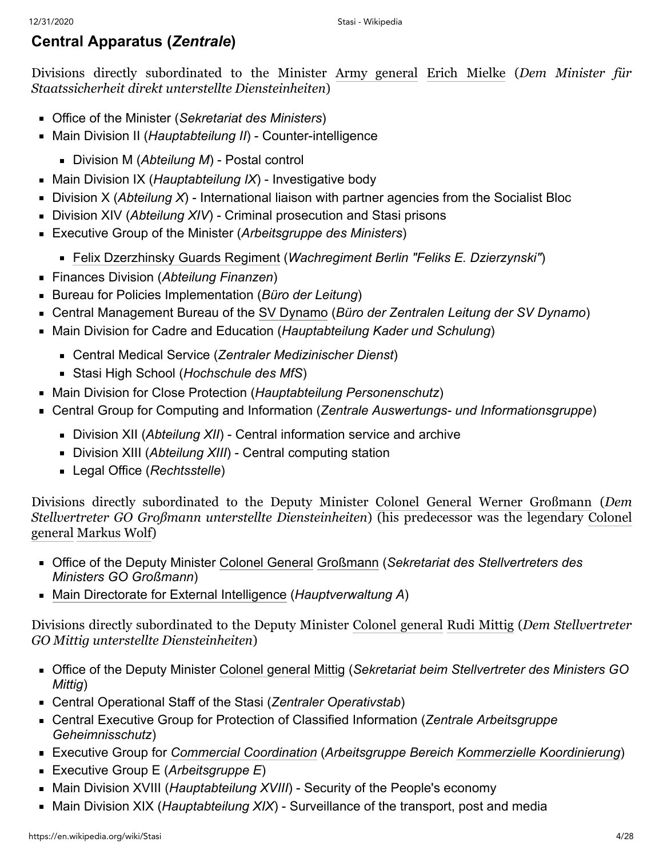### <span id="page-3-0"></span>**Central Apparatus (***Zentrale***)**

Divisions directly subordinated to the Minister [Army general](https://en.wikipedia.org/wiki/Army_general_(East_Germany)) [Erich Mielke](https://en.wikipedia.org/wiki/Erich_Mielke) (*Dem Minister für Staatssicherheit direkt unterstellte Diensteinheiten*)

- Office of the Minister (*Sekretariat des Ministers*)
- Main Division II (*Hauptabteilung II*) Counter-intelligence
	- Division M (*Abteilung M*) Postal control
- Main Division IX (*Hauptabteilung IX*) Investigative body
- Division X (Abteilung X) International liaison with partner agencies from the Socialist Bloc
- Division XIV (Abteilung XIV) Criminal prosecution and Stasi prisons
- Executive Group of the Minister (*Arbeitsgruppe des Ministers*)
	- [Felix Dzerzhinsky Guards Regiment](https://en.wikipedia.org/wiki/Felix_Dzerzhinsky_Guards_Regiment) (*Wachregiment Berlin "Feliks E. Dzierzynski"*)
- Finances Division (*Abteilung Finanzen*)
- Bureau for Policies Implementation (*Büro der Leitung*)
- Central Management Bureau of the [SV Dynamo](https://en.wikipedia.org/wiki/SV_Dynamo) (*Büro der Zentralen Leitung der SV Dynamo*)
- Main Division for Cadre and Education (*Hauptabteilung Kader und Schulung*)
	- Central Medical Service (*Zentraler Medizinischer Dienst*)
	- Stasi High School (*Hochschule des MfS*)
- Main Division for Close Protection (*Hauptabteilung Personenschutz*)
- Central Group for Computing and Information (*Zentrale Auswertungs- und Informationsgruppe*)
	- Division XII (*Abteilung XII*) Central information service and archive
	- Division XIII (*Abteilung XIII*) Central computing station
	- Legal Office (*Rechtsstelle*)

Divisions directly subordinated to the Deputy Minister [Colonel General](https://en.wikipedia.org/wiki/Colonel_General) [Werner Großmann](https://en.wikipedia.org/wiki/Werner_Grossmann) (*Dem [Stellvertreter GO Großmann unterstellte Diensteinheiten](https://en.wikipedia.org/wiki/Colonel_general)*) (his predecessor was the legendary Colonel general [Markus Wolf](https://en.wikipedia.org/wiki/Markus_Wolf))

- Office of the Deputy Minister [Colonel General](https://en.wikipedia.org/wiki/Colonel_General) [Großmann](https://en.wikipedia.org/wiki/Werner_Grossmann) (*Sekretariat des Stellvertreters des Ministers GO Großmann*)
- [Main Directorate for External Intelligence](https://en.wikipedia.org/wiki/Main_Directorate_for_Reconnaissance) (*Hauptverwaltung A*)

Divisions directly subordinated to the Deputy Minister [Colonel general](https://en.wikipedia.org/wiki/Colonel_general) [Rudi Mittig](https://en.wikipedia.org/wiki/Rudi_Mittig) (*Dem Stellvertreter GO Mittig unterstellte Diensteinheiten*)

- Office of the Deputy Minister [Colonel general](https://en.wikipedia.org/wiki/Colonel_general) [Mittig](https://en.wikipedia.org/wiki/Rudi_Mittig) (*Sekretariat beim Stellvertreter des Ministers GO Mittig*)
- Central Operational Staff of the Stasi (*Zentraler Operativstab*)
- Central Executive Group for Protection of Classified Information (*Zentrale Arbeitsgruppe Geheimnisschutz*)
- Executive Group for *[Commercial Coordination](https://en.wikipedia.org/wiki/Kommerzielle_Koordinierung)* (*Arbeitsgruppe Bereich [Kommerzielle Koordinierung](https://en.wikipedia.org/wiki/Kommerzielle_Koordinierung)*)
- Executive Group E (*Arbeitsgruppe E*)
- **Main Division XVIII (***Hauptabteilung XVIII***) Security of the People's economy**
- Main Division XIX (*Hauptabteilung XIX*) Surveillance of the transport, post and media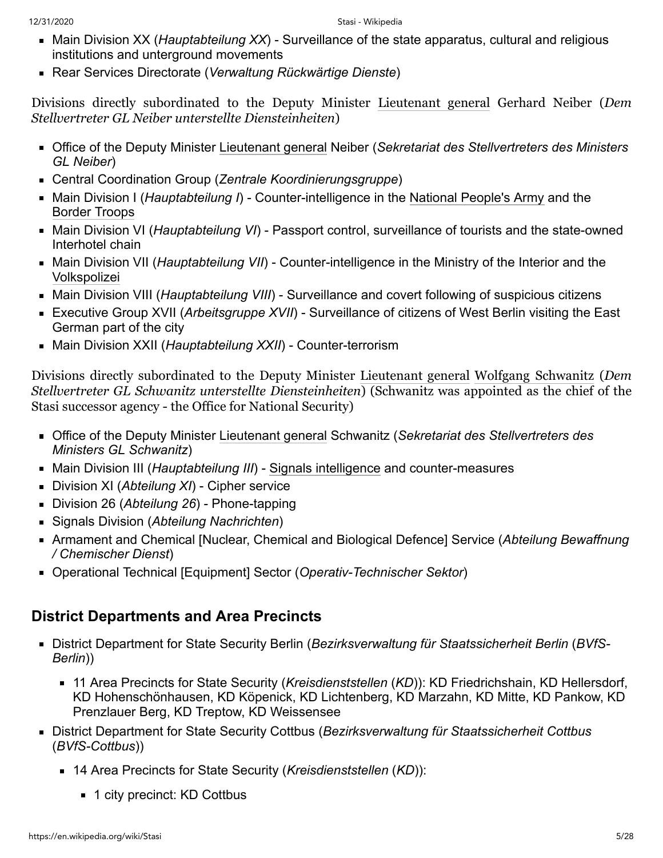- Main Division XX (*Hauptabteilung XX*) Surveillance of the state apparatus, cultural and religious institutions and unterground movements
- Rear Services Directorate (*Verwaltung Rückwärtige Dienste*)

Divisions directly subordinated to the Deputy Minister [Lieutenant general](https://en.wikipedia.org/wiki/Lieutenant_general) Gerhard Neiber (*Dem Stellvertreter GL Neiber unterstellte Diensteinheiten*)

- Office of the Deputy Minister [Lieutenant general](https://en.wikipedia.org/wiki/Lieutenant_general) Neiber (*Sekretariat des Stellvertreters des Ministers GL Neiber*)
- Central Coordination Group (*Zentrale Koordinierungsgruppe*)
- Main Division I (*Hauptabteilung I*) Counter-intelligence in the [National People's Army](https://en.wikipedia.org/wiki/National_People%27s_Army) and the [Border Troops](https://en.wikipedia.org/wiki/Border_Troops_of_the_German_Democratic_Republic)
- Main Division VI (*Hauptabteilung VI*) Passport control, surveillance of tourists and the state-owned Interhotel chain
- Main Division VII (*Hauptabteilung VII*) Counter-intelligence in the Ministry of the Interior and the [Volkspolizei](https://en.wikipedia.org/wiki/Volkspolizei)
- **Main Division VIII (Hauptabteilung VIII) Surveillance and covert following of suspicious citizens**
- Executive Group XVII (Arbeitsgruppe XVII) Surveillance of citizens of West Berlin visiting the East German part of the city
- Main Division XXII (*Hauptabteilung XXII*) Counter-terrorism

Divisions directly subordinated to the Deputy Minister [Lieutenant general](https://en.wikipedia.org/wiki/Lieutenant_general) [Wolfgang Schwanitz](https://en.wikipedia.org/wiki/Wolfgang_Schwanitz) (*Dem Stellvertreter GL Schwanitz unterstellte Diensteinheiten*) (Schwanitz was appointed as the chief of the Stasi successor agency - the Office for National Security)

- Office of the Deputy Minister [Lieutenant general](https://en.wikipedia.org/wiki/Lieutenant_general) Schwanitz (*Sekretariat des Stellvertreters des Ministers GL Schwanitz*)
- Main Division III (*Hauptabteilung III*) [Signals intelligence](https://en.wikipedia.org/wiki/Signals_intelligence) and counter-measures
- Division XI (*Abteilung XI*) Cipher service
- Division 26 (*Abteilung 26*) Phone-tapping
- Signals Division (*Abteilung Nachrichten*)
- Armament and Chemical [Nuclear, Chemical and Biological Defence] Service (*Abteilung Bewaffnung / Chemischer Dienst*)
- Operational Technical [Equipment] Sector (*Operativ-Technischer Sektor*)

## <span id="page-4-0"></span>**District Departments and Area Precincts**

- District Department for State Security Berlin (*Bezirksverwaltung für Staatssicherheit Berlin* (*BVfS-Berlin*))
	- 11 Area Precincts for State Security (*Kreisdienststellen* (*KD*)): KD Friedrichshain, KD Hellersdorf, KD Hohenschönhausen, KD Köpenick, KD Lichtenberg, KD Marzahn, KD Mitte, KD Pankow, KD Prenzlauer Berg, KD Treptow, KD Weissensee
- District Department for State Security Cottbus (*Bezirksverwaltung für Staatssicherheit Cottbus* (*BVfS-Cottbus*))
	- 14 Area Precincts for State Security (*Kreisdienststellen* (*KD*)):
		- 1 city precinct: KD Cottbus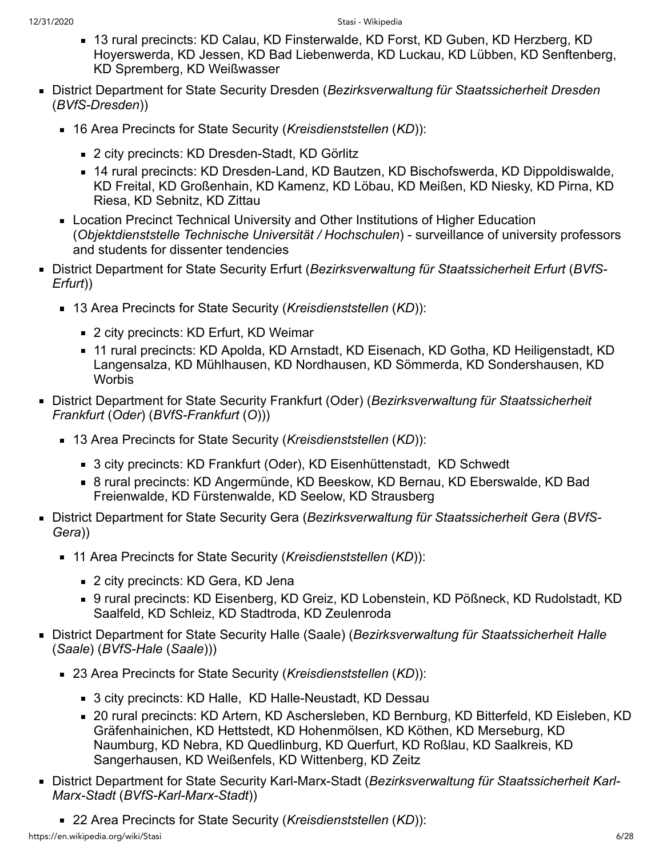- 13 rural precincts: KD Calau, KD Finsterwalde, KD Forst, KD Guben, KD Herzberg, KD Hoyerswerda, KD Jessen, KD Bad Liebenwerda, KD Luckau, KD Lübben, KD Senftenberg, KD Spremberg, KD Weißwasser
- District Department for State Security Dresden (*Bezirksverwaltung für Staatssicherheit Dresden* (*BVfS-Dresden*))
	- 16 Area Precincts for State Security (*Kreisdienststellen* (*KD*)):
		- 2 city precincts: KD Dresden-Stadt, KD Görlitz
		- 14 rural precincts: KD Dresden-Land, KD Bautzen, KD Bischofswerda, KD Dippoldiswalde, KD Freital, KD Großenhain, KD Kamenz, KD Löbau, KD Meißen, KD Niesky, KD Pirna, KD Riesa, KD Sebnitz, KD Zittau
	- **EXEC** Location Precinct Technical University and Other Institutions of Higher Education (*Objektdienststelle Technische Universität / Hochschulen*) - surveillance of university professors and students for dissenter tendencies
- District Department for State Security Erfurt (*Bezirksverwaltung für Staatssicherheit Erfurt* (*BVfS-Erfurt*))
	- 13 Area Precincts for State Security (*Kreisdienststellen* (*KD*)):
		- 2 city precincts: KD Erfurt, KD Weimar
		- 11 rural precincts: KD Apolda, KD Arnstadt, KD Eisenach, KD Gotha, KD Heiligenstadt, KD Langensalza, KD Mühlhausen, KD Nordhausen, KD Sömmerda, KD Sondershausen, KD **Worbis**
- District Department for State Security Frankfurt (Oder) (*Bezirksverwaltung für Staatssicherheit Frankfurt* (*Oder*) (*BVfS-Frankfurt* (*O*)))
	- 13 Area Precincts for State Security (*Kreisdienststellen* (*KD*)):
		- 3 city precincts: KD Frankfurt (Oder), KD Eisenhüttenstadt, KD Schwedt
		- 8 rural precincts: KD Angermünde, KD Beeskow, KD Bernau, KD Eberswalde, KD Bad Freienwalde, KD Fürstenwalde, KD Seelow, KD Strausberg
- District Department for State Security Gera (*Bezirksverwaltung für Staatssicherheit Gera* (*BVfS-Gera*))
	- 11 Area Precincts for State Security (*Kreisdienststellen* (*KD*)):
		- 2 city precincts: KD Gera, KD Jena
		- 9 rural precincts: KD Eisenberg, KD Greiz, KD Lobenstein, KD Pößneck, KD Rudolstadt, KD Saalfeld, KD Schleiz, KD Stadtroda, KD Zeulenroda
- District Department for State Security Halle (Saale) (*Bezirksverwaltung für Staatssicherheit Halle* (*Saale*) (*BVfS-Hale* (*Saale*)))
	- 23 Area Precincts for State Security (*Kreisdienststellen* (*KD*)):
		- 3 city precincts: KD Halle, KD Halle-Neustadt, KD Dessau
		- 20 rural precincts: KD Artern, KD Aschersleben, KD Bernburg, KD Bitterfeld, KD Eisleben, KD Gräfenhainichen, KD Hettstedt, KD Hohenmölsen, KD Köthen, KD Merseburg, KD Naumburg, KD Nebra, KD Quedlinburg, KD Querfurt, KD Roßlau, KD Saalkreis, KD Sangerhausen, KD Weißenfels, KD Wittenberg, KD Zeitz
- District Department for State Security Karl-Marx-Stadt (*Bezirksverwaltung für Staatssicherheit Karl-Marx-Stadt* (*BVfS-Karl-Marx-Stadt*))
	- 22 Area Precincts for State Security (*Kreisdienststellen* (*KD*)):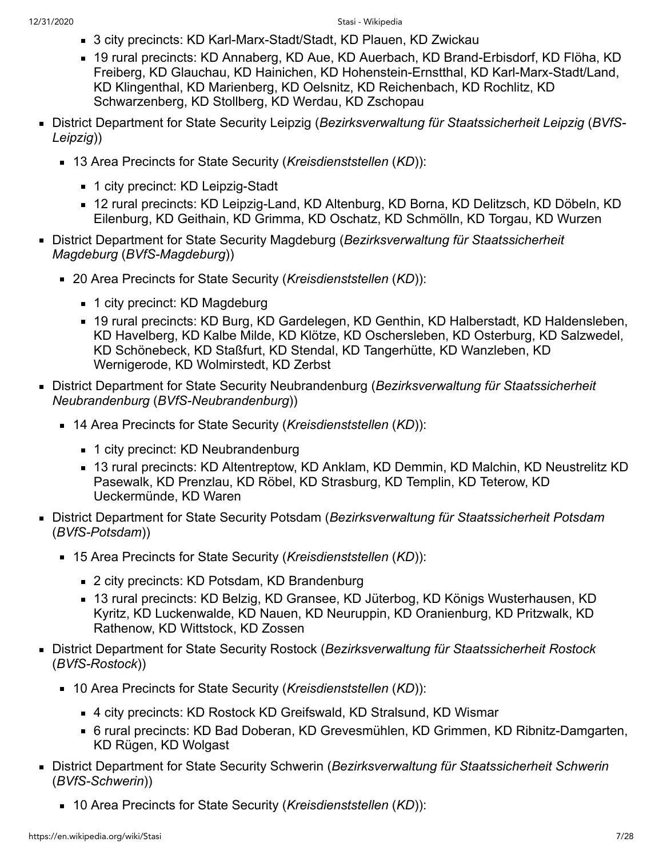- 3 city precincts: KD Karl-Marx-Stadt/Stadt, KD Plauen, KD Zwickau
- 19 rural precincts: KD Annaberg, KD Aue, KD Auerbach, KD Brand-Erbisdorf, KD Flöha, KD Freiberg, KD Glauchau, KD Hainichen, KD Hohenstein-Ernstthal, KD Karl-Marx-Stadt/Land, KD Klingenthal, KD Marienberg, KD Oelsnitz, KD Reichenbach, KD Rochlitz, KD Schwarzenberg, KD Stollberg, KD Werdau, KD Zschopau
- District Department for State Security Leipzig (*Bezirksverwaltung für Staatssicherheit Leipzig* (*BVfS-Leipzig*))
	- 13 Area Precincts for State Security (*Kreisdienststellen* (*KD*)):
		- 1 city precinct: KD Leipzig-Stadt
		- 12 rural precincts: KD Leipzig-Land, KD Altenburg, KD Borna, KD Delitzsch, KD Döbeln, KD Eilenburg, KD Geithain, KD Grimma, KD Oschatz, KD Schmölln, KD Torgau, KD Wurzen
- District Department for State Security Magdeburg (*Bezirksverwaltung für Staatssicherheit Magdeburg* (*BVfS-Magdeburg*))
	- 20 Area Precincts for State Security (*Kreisdienststellen* (*KD*)):
		- 1 city precinct: KD Magdeburg
		- 19 rural precincts: KD Burg, KD Gardelegen, KD Genthin, KD Halberstadt, KD Haldensleben, KD Havelberg, KD Kalbe Milde, KD Klötze, KD Oschersleben, KD Osterburg, KD Salzwedel, KD Schönebeck, KD Staßfurt, KD Stendal, KD Tangerhütte, KD Wanzleben, KD Wernigerode, KD Wolmirstedt, KD Zerbst
- District Department for State Security Neubrandenburg (*Bezirksverwaltung für Staatssicherheit Neubrandenburg* (*BVfS-Neubrandenburg*))
	- 14 Area Precincts for State Security (*Kreisdienststellen* (*KD*)):
		- 1 city precinct: KD Neubrandenburg
		- 13 rural precincts: KD Altentreptow, KD Anklam, KD Demmin, KD Malchin, KD Neustrelitz KD Pasewalk, KD Prenzlau, KD Röbel, KD Strasburg, KD Templin, KD Teterow, KD Ueckermünde, KD Waren
- District Department for State Security Potsdam (*Bezirksverwaltung für Staatssicherheit Potsdam* (*BVfS-Potsdam*))
	- 15 Area Precincts for State Security (*Kreisdienststellen* (*KD*)):
		- 2 city precincts: KD Potsdam, KD Brandenburg
		- 13 rural precincts: KD Belzig, KD Gransee, KD Jüterbog, KD Königs Wusterhausen, KD Kyritz, KD Luckenwalde, KD Nauen, KD Neuruppin, KD Oranienburg, KD Pritzwalk, KD Rathenow, KD Wittstock, KD Zossen
- District Department for State Security Rostock (*Bezirksverwaltung für Staatssicherheit Rostock* (*BVfS-Rostock*))
	- 10 Area Precincts for State Security (*Kreisdienststellen* (*KD*)):
		- 4 city precincts: KD Rostock KD Greifswald, KD Stralsund, KD Wismar
		- 6 rural precincts: KD Bad Doberan, KD Grevesmühlen, KD Grimmen, KD Ribnitz-Damgarten, KD Rügen, KD Wolgast
- District Department for State Security Schwerin (*Bezirksverwaltung für Staatssicherheit Schwerin* (*BVfS-Schwerin*))
	- 10 Area Precincts for State Security (*Kreisdienststellen* (*KD*)):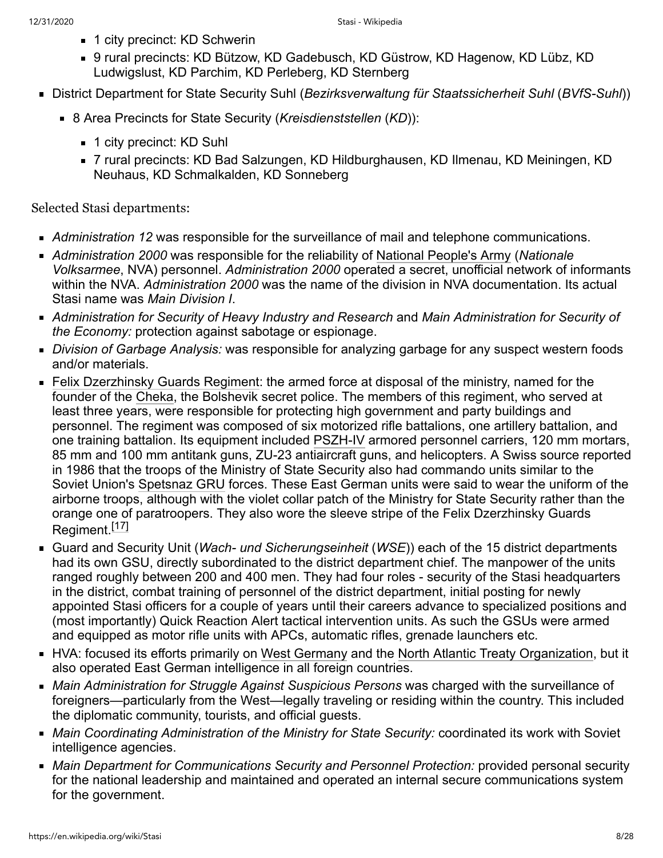- 1 city precinct: KD Schwerin
- 9 rural precincts: KD Bützow, KD Gadebusch, KD Güstrow, KD Hagenow, KD Lübz, KD Ludwigslust, KD Parchim, KD Perleberg, KD Sternberg
- District Department for State Security Suhl (*Bezirksverwaltung für Staatssicherheit Suhl* (*BVfS-Suhl*))
	- 8 Area Precincts for State Security (*Kreisdienststellen* (*KD*)):
		- 1 city precinct: KD Suhl
		- 7 rural precincts: KD Bad Salzungen, KD Hildburghausen, KD Ilmenau, KD Meiningen, KD Neuhaus, KD Schmalkalden, KD Sonneberg

Selected Stasi departments:

- *Administration 12* was responsible for the surveillance of mail and telephone communications.
- *Administration 2000* was responsible for the reliability of [National People's Army](https://en.wikipedia.org/wiki/National_People%27s_Army) (*Nationale Volksarmee*, NVA) personnel. *Administration 2000* operated a secret, unofficial network of informants within the NVA. *Administration 2000* was the name of the division in NVA documentation. Its actual Stasi name was *Main Division I*.
- *Administration for Security of Heavy Industry and Research* and *Main Administration for Security of the Economy:* protection against sabotage or espionage.
- *Division of Garbage Analysis:* was responsible for analyzing garbage for any suspect western foods and/or materials.
- [Felix Dzerzhinsky Guards Regiment:](https://en.wikipedia.org/wiki/Felix_Dzerzhinsky_Guards_Regiment) the armed force at disposal of the ministry, named for the founder of the [Cheka](https://en.wikipedia.org/wiki/Cheka), the Bolshevik secret police. The members of this regiment, who served at least three years, were responsible for protecting high government and party buildings and personnel. The regiment was composed of six motorized rifle battalions, one artillery battalion, and one training battalion. Its equipment included [PSZH-IV](https://en.wikipedia.org/wiki/PSZH-IV) armored personnel carriers, 120 mm mortars, 85 mm and 100 mm antitank guns, ZU-23 antiaircraft guns, and helicopters. A Swiss source reported in 1986 that the troops of the Ministry of State Security also had commando units similar to the Soviet Union's [Spetsnaz GRU](https://en.wikipedia.org/wiki/Spetsnaz_GRU) forces. These East German units were said to wear the uniform of the airborne troops, although with the violet collar patch of the Ministry for State Security rather than the orange one of paratroopers. They also wore the sleeve stripe of the Felix Dzerzhinsky Guards Regiment.<sup>[\[17\]](#page-20-19)</sup>
- Guard and Security Unit (*Wach- und Sicherungseinheit* (*WSE*)) each of the 15 district departments had its own GSU, directly subordinated to the district department chief. The manpower of the units ranged roughly between 200 and 400 men. They had four roles - security of the Stasi headquarters in the district, combat training of personnel of the district department, initial posting for newly appointed Stasi officers for a couple of years until their careers advance to specialized positions and (most importantly) Quick Reaction Alert tactical intervention units. As such the GSUs were armed and equipped as motor rifle units with APCs, automatic rifles, grenade launchers etc.
- HVA: focused its efforts primarily on [West Germany](https://en.wikipedia.org/wiki/West_Germany) and the [North Atlantic Treaty Organization,](https://en.wikipedia.org/wiki/North_Atlantic_Treaty_Organization) but it also operated East German intelligence in all foreign countries.
- *Main Administration for Struggle Against Suspicious Persons* was charged with the surveillance of foreigners—particularly from the West—legally traveling or residing within the country. This included the diplomatic community, tourists, and official guests.
- *Main Coordinating Administration of the Ministry for State Security:* coordinated its work with Soviet intelligence agencies.
- *Main Department for Communications Security and Personnel Protection:* provided personal security for the national leadership and maintained and operated an internal secure communications system for the government.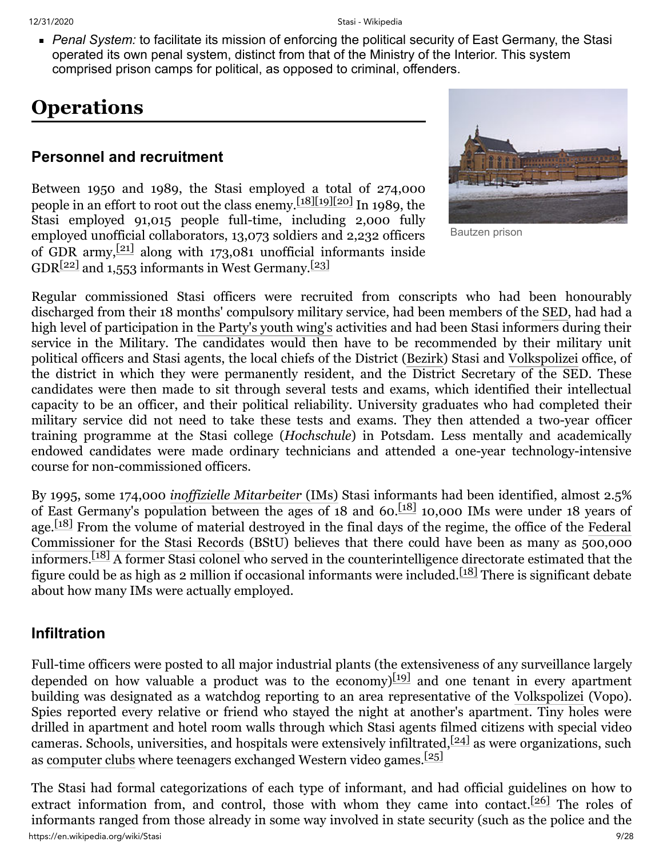*Penal System:* to facilitate its mission of enforcing the political security of East Germany, the Stasi operated its own penal system, distinct from that of the Ministry of the Interior. This system comprised prison camps for political, as opposed to criminal, offenders.

## <span id="page-8-0"></span>**Operations**

#### <span id="page-8-1"></span>**Personnel and recruitment**

Between 1950 and 1989, the Stasi employed a total of 274,000 people in an effort to root out the class enemy.<sup>[\[18\]](#page-20-20)[\[19\]](#page-20-21)[\[20\]](#page-20-22)</sup> In 1989, the Stasi employed 91,015 people full-time, including 2,000 fully employed unofficial collaborators, 13,073 soldiers and 2,232 officers of GDR army, $\frac{[21]}{[21]}$  $\frac{[21]}{[21]}$  $\frac{[21]}{[21]}$  along with 173,081 unofficial informants inside  $GDR[22]$  $GDR[22]$  and 1,553 informants in West Germany. $[23]$ 



Bautzen prison

Regular commissioned Stasi officers were recruited from conscripts who had been honourably discharged from their 18 months' compulsory military service, had been members of the [SED,](https://en.wikipedia.org/wiki/Socialist_Unity_Party_of_Germany) had had a high level of participation in [the Party's youth wing's](https://en.wikipedia.org/wiki/Free_German_Youth) activities and had been Stasi informers during their service in the Military. The candidates would then have to be recommended by their military unit political officers and Stasi agents, the local chiefs of the District ([Bezirk](https://en.wikipedia.org/wiki/Bezirk)) Stasi and [Volkspolizei](https://en.wikipedia.org/wiki/Volkspolizei) office, of the district in which they were permanently resident, and the District Secretary of the SED. These candidates were then made to sit through several tests and exams, which identified their intellectual capacity to be an officer, and their political reliability. University graduates who had completed their military service did not need to take these tests and exams. They then attended a two-year officer training programme at the Stasi college (*Hochschule*) in Potsdam. Less mentally and academically endowed candidates were made ordinary technicians and attended a one-year technology-intensive course for non-commissioned officers.

By 1995, some 174,000 *[inoffizielle Mitarbeiter](https://en.wikipedia.org/wiki/Informal_collaborator)* (IMs) Stasi informants had been identified, almost 2.5% of East Germany's population between the ages of 18 and 60.[\[18\]](#page-20-20) 10,000 IMs were under 18 years of age.<sup>[\[18\]](#page-20-20)</sup> From the volume [of material destroyed in the final days of the regime, the office of the Federal](https://en.wikipedia.org/wiki/Federal_Commissioner_for_the_Stasi_Records) Commissioner for the Stasi Records (BStU) believes that there could have been as many as  $500,000$ informers.[\[18\]](#page-20-20) A former Stasi colonel who served in the counterintelligence directorate estimated that the figure could be as high as 2 million if occasional informants were included.<sup>[\[18\]](#page-20-20)</sup> There is significant debate about how many IMs were actually employed.

#### <span id="page-8-2"></span>**Infiltration**

Full-time officers were posted to all major industrial plants (the extensiveness of any surveillance largely depended on how valuable a product was to the economy  $[19]$  and one tenant in every apartment building was designated as a watchdog reporting to an area representative of the [Volkspolizei](https://en.wikipedia.org/wiki/Volkspolizei) (Vopo). Spies reported every relative or friend who stayed the night at another's apartment. Tiny holes were drilled in apartment and hotel room walls through which Stasi agents filmed citizens with special video cameras. Schools, universities, and hospitals were extensively infiltrated,  $[24]$  as were organizations, such as [computer clubs](https://en.wikipedia.org/wiki/Computer_club_(user_group)) where teenagers exchanged Western video games.[\[25\]](#page-21-3)

https://en.wikipedia.org/wiki/Stasi 9/28 The Stasi had formal categorizations of each type of informant, and had official guidelines on how to extract information from, and control, those with whom they came into contact.<sup>[\[26\]](#page-21-4)</sup> The roles of informants ranged from those already in some way involved in state security (such as the police and the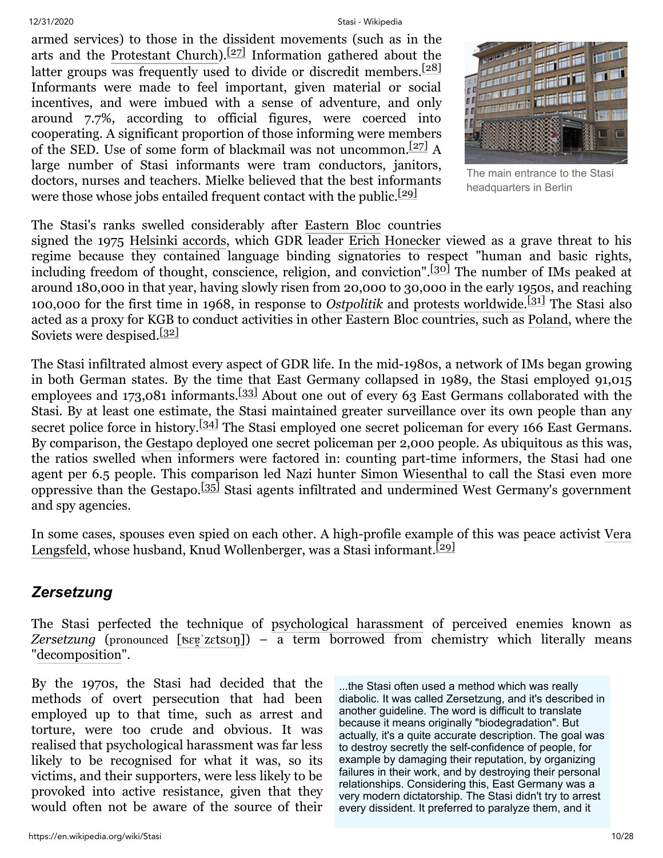armed services) to those in the dissident movements (such as in the arts and the [Protestant Church](https://en.wikipedia.org/wiki/Protestant_Church)).<sup>[\[27\]](#page-21-5)</sup> Information gathered about the latter groups was frequently used to divide or discredit members.<sup>[\[28\]](#page-21-6)</sup> Informants were made to feel important, given material or social incentives, and were imbued with a sense of adventure, and only around 7.7%, according to official figures, were coerced into cooperating. A significant proportion of those informing were members of the SED. Use of some form of blackmail was not uncommon.  $\frac{[27]}{]}$  $\frac{[27]}{]}$  $\frac{[27]}{]}$  A large number of Stasi informants were tram conductors, janitors, doctors, nurses and teachers. Mielke believed that the best informants were those whose jobs entailed frequent contact with the public.<sup>[\[29\]](#page-21-7)</sup>



The main entrance to the Stasi headquarters in Berlin

#### The Stasi's ranks swelled considerably after [Eastern Bloc](https://en.wikipedia.org/wiki/Eastern_Bloc) countries

signed the 1975 [Helsinki accords](https://en.wikipedia.org/wiki/Helsinki_accords), which GDR leader [Erich Honecker](https://en.wikipedia.org/wiki/Erich_Honecker) viewed as a grave threat to his regime because they contained language binding signatories to respect "human and basic rights, including freedom of thought, conscience, religion, and conviction".<sup>[\[30\]](#page-21-8)</sup> The number of IMs peaked at around 180,000 in that year, having slowly risen from 20,000 to 30,000 in the early 1950s, and reaching 100,000 for the first time in 1968, in response to *[Ostpolitik](https://en.wikipedia.org/wiki/Ostpolitik)* and [protests worldwide.](https://en.wikipedia.org/wiki/Protests_of_1968) [\[31\]](#page-21-9) The Stasi also acted as a proxy for KGB to conduct activities in other Eastern Bloc countries, such as [Poland,](https://en.wikipedia.org/wiki/People%27s_Republic_of_Poland) where the Soviets were despised.<sup>[\[32\]](#page-21-10)</sup>

The Stasi infiltrated almost every aspect of GDR life. In the mid-1980s, a network of IMs began growing in both German states. By the time that East Germany collapsed in 1989, the Stasi employed 91,015 employees and 173,081 informants.<sup>[\[33\]](#page-21-11)</sup> About one out of every 63 East Germans collaborated with the Stasi. By at least one estimate, the Stasi maintained greater surveillance over its own people than any secret police force in history.<sup>[\[34\]](#page-21-12)</sup> The Stasi employed one secret policeman for every 166 East Germans. By comparison, the [Gestapo](https://en.wikipedia.org/wiki/Gestapo) deployed one secret policeman per 2,000 people. As ubiquitous as this was, the ratios swelled when informers were factored in: counting part-time informers, the Stasi had one agent per 6.5 people. This comparison led Nazi hunter [Simon Wiesenthal](https://en.wikipedia.org/wiki/Simon_Wiesenthal) to call the Stasi even more oppressive than the Gestapo.[\[35\]](#page-21-13) Stasi agents infiltrated and undermined West Germany's government and spy agencies.

[In some cases, spouses even spied on each other. A high-profile example](https://en.wikipedia.org/wiki/Vera_Lengsfeld) of this was peace activist Vera Lengsfeld, whose husband, Knud Wollenberger, was a Stasi informant.<sup>[\[29\]](#page-21-7)</sup>

#### <span id="page-9-0"></span>*Zersetzung*

The Stasi perfected the technique of [psychological harassment](https://en.wikipedia.org/wiki/Psychological_harassment) of perceived enemies known as *Zersetzung* (pronounced [[ʦɛɐ̯ˈ](https://en.wikipedia.org/wiki/Help:IPA/Standard_German)zɛtsʊŋ]) – a term borrowed from chemistry which literally means "[decomposition](https://en.wikipedia.org/wiki/Chemical_decomposition)".

By the 1970s, the Stasi had decided that the methods of overt persecution that had been employed up to that time, such as arrest and torture, were too crude and obvious. It was realised that psychological harassment was far less likely to be recognised for what it was, so its victims, and their supporters, were less likely to be provoked into active resistance, given that they would often not be aware of the source of their

...the Stasi often used a method which was really diabolic. It was called Zersetzung, and it's described in another guideline. The word is difficult to translate because it means originally "biodegradation". But actually, it's a quite accurate description. The goal was to destroy secretly the self-confidence of people, for example by damaging their reputation, by organizing failures in their work, and by destroying their personal relationships. Considering this, East Germany was a very modern dictatorship. The Stasi didn't try to arrest every dissident. It preferred to paralyze them, and it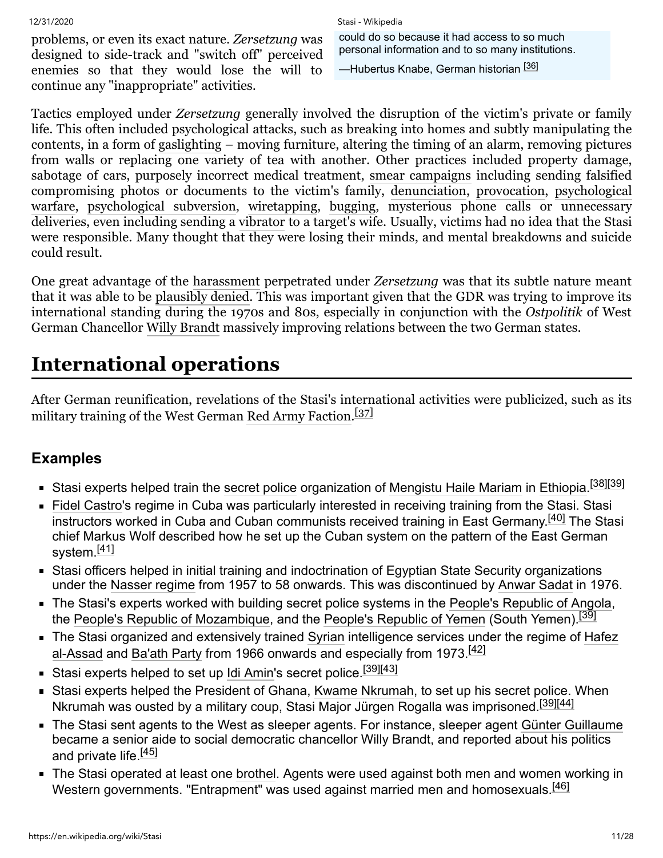problems, or even its exact nature. *Zersetzung* was designed to side-track and "switch off" perceived enemies so that they would lose the will to continue any "inappropriate" activities.

#### 12/31/2020 Stasi - Wikipedia

could do so because it had access to so much personal information and to so many institutions.

—Hubertus Knabe, German historian <sup>[\[36\]](#page-21-14)</sup>

Tactics employed under *Zersetzung* generally involved the disruption of the victim's private or family life. This often included psychological attacks, such as breaking into homes and subtly manipulating the contents, in a form of [gaslighting](https://en.wikipedia.org/wiki/Gaslighting) – moving furniture, altering the timing of an alarm, removing pictures from walls or replacing one variety of tea with another. Other practices included property damage, sabotage of cars, purposely incorrect medical treatment, [smear campaigns](https://en.wikipedia.org/wiki/Smear_campaign) including sending falsified [compromising photos or documents to the victim's family, d](https://en.wikipedia.org/wiki/Psychological_warfare)[enunciation](https://en.wikipedia.org/wiki/False_accusation)[,](https://en.wikipedia.org/wiki/Psychological_warfare) [provocation](https://en.wikipedia.org/wiki/Agent_provocateur)[, psychological](https://en.wikipedia.org/wiki/Psychological_warfare) warfare, [psychological subversion](https://en.wikipedia.org/wiki/Psychological_subversion), [wiretapping](https://en.wikipedia.org/wiki/Telephone_tapping), [bugging](https://en.wikipedia.org/wiki/Covert_listening_device), mysterious phone calls or unnecessary deliveries, even including sending a [vibrator](https://en.wikipedia.org/wiki/Vibrator_(sex_toy)) to a target's wife. Usually, victims had no idea that the Stasi were responsible. Many thought that they were losing their minds, and mental breakdowns and suicide could result.

One great advantage of the [harassment](https://en.wikipedia.org/wiki/Harassment) perpetrated under *Zersetzung* was that its subtle nature meant that it was able to be [plausibly denied.](https://en.wikipedia.org/wiki/Plausible_deniability) This was important given that the GDR was trying to improve its international standing during the 1970s and 80s, especially in conjunction with the *Ostpolitik* of West German Chancellor [Willy Brandt](https://en.wikipedia.org/wiki/Willy_Brandt) massively improving relations between the two German states.

## <span id="page-10-0"></span>**International operations**

After German reunification, revelations of the Stasi's international activities were publicized, such as its military training of the West German [Red Army Faction](https://en.wikipedia.org/wiki/Red_Army_Faction). [\[37\]](#page-21-15)

#### <span id="page-10-1"></span>**Examples**

- Stasi experts helped train the [secret police](https://en.wikipedia.org/wiki/Secret_police) organization of [Mengistu Haile Mariam](https://en.wikipedia.org/wiki/Mengistu_Haile_Mariam) in [Ethiopia.](https://en.wikipedia.org/wiki/Ethiopia)<sup>[\[38\]](#page-21-16)[\[39\]](#page-21-17)</sup>
- [Fidel Castro](https://en.wikipedia.org/wiki/Fidel_Castro)'s regime in Cuba was particularly interested in receiving training from the Stasi. Stasi instructors worked in Cuba and Cuban communists received training in East Germany.<sup>[\[40\]](#page-21-18)</sup> The Stasi chief Markus Wolf described how he set up the Cuban system on the pattern of the East German system.<sup>[\[41\]](#page-21-19)</sup>
- Stasi officers helped in initial training and indoctrination of Egyptian State Security organizations under the [Nasser regime](https://en.wikipedia.org/wiki/Gamal_Abdel_Nasser) from 1957 to 58 onwards. This was discontinued by [Anwar Sadat](https://en.wikipedia.org/wiki/Anwar_Sadat) in 1976.
- The Stasi's experts worked with building secret police systems in the [People's Republic of Angola](https://en.wikipedia.org/wiki/People%27s_Republic_of_Angola), the [People's Republic of Mozambique,](https://en.wikipedia.org/wiki/People%27s_Republic_of_Mozambique) and the [People's Republic of Yemen](https://en.wikipedia.org/wiki/People%27s_Republic_of_Yemen) (South Yemen).<sup>[\[39\]](#page-21-17)</sup>
- **[The Stasi organized and extensively trained](https://en.wikipedia.org/wiki/Hafez_al-Assad) [Syria](https://en.wikipedia.org/wiki/Syria)[n intelligence services under the regime of Hafez](https://en.wikipedia.org/wiki/Hafez_al-Assad)** al-Assad and [Ba'ath Party](https://en.wikipedia.org/wiki/Ba%27ath_Party) from 1966 onwards and especially from 1973.<sup>[\[42\]](#page-21-20)</sup>
- Stasi experts helped to set up [Idi Amin](https://en.wikipedia.org/wiki/Idi_Amin)'s secret police.<sup>[\[39\]](#page-21-17)[\[43\]](#page-21-21)</sup>
- Stasi experts helped the President of Ghana, [Kwame Nkrumah](https://en.wikipedia.org/wiki/Kwame_Nkrumah), to set up his secret police. When Nkrumah was ousted by a military coup, Stasi Major Jürgen Rogalla was imprisoned.[\[39\]](#page-21-17)[\[44\]](#page-21-22)
- The Stasi sent agents to the West as sleeper agents. For instance, sleeper agent [Günter Guillaume](https://en.wikipedia.org/wiki/G%C3%BCnter_Guillaume) became a senior aide to social democratic chancellor Willy Brandt, and reported about his politics and private life.<sup>[\[45\]](#page-21-23)</sup>
- The Stasi operated at least one [brothel.](https://en.wikipedia.org/wiki/Brothel) Agents were used against both men and women working in Western governments. "Entrapment" was used against married men and homosexuals.<sup>[\[46\]](#page-21-24)</sup>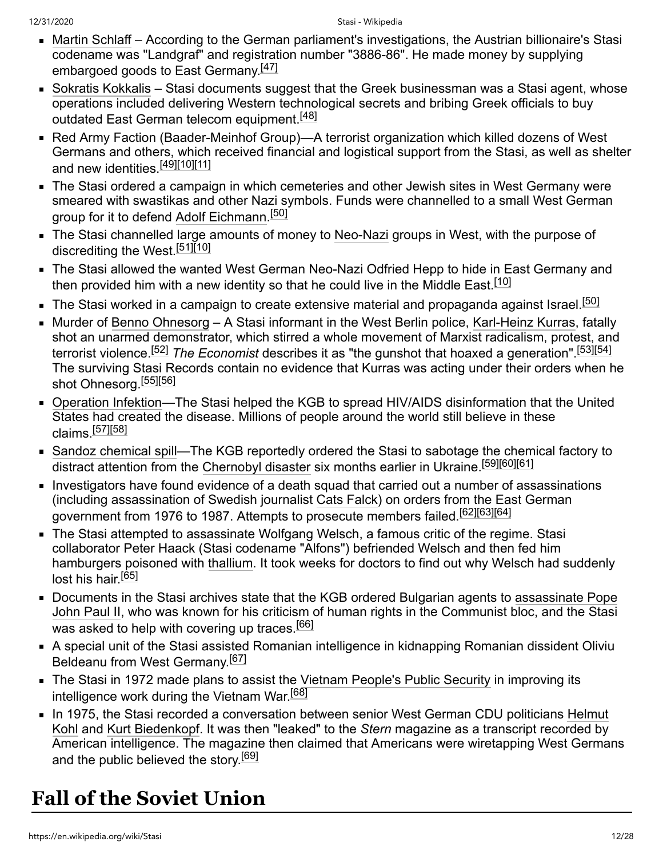- [Martin Schlaff](https://en.wikipedia.org/wiki/Martin_Schlaff) According to the German parliament's investigations, the Austrian billionaire's Stasi codename was "Landgraf" and registration number "3886-86". He made money by supplying embargoed goods to East Germany.<sup>[\[47\]](#page-21-25)</sup>
- [Sokratis Kokkalis](https://en.wikipedia.org/wiki/Sokratis_Kokkalis) Stasi documents suggest that the Greek businessman was a Stasi agent, whose operations included delivering Western technological secrets and bribing Greek officials to buy outdated East German telecom equipment.<sup>[\[48\]](#page-21-26)</sup>
- Red Army Faction (Baader-Meinhof Group)—A terrorist organization which killed dozens of West Germans and others, which received financial and logistical support from the Stasi, as well as shelter and new identities.<sup>[\[49\]](#page-21-27)[\[10\]](#page-20-9)[\[11\]](#page-20-10)</sup>
- The Stasi ordered a campaign in which cemeteries and other Jewish sites in West Germany were smeared with swastikas and other Nazi symbols. Funds were channelled to a small West German group for it to defend [Adolf Eichmann](https://en.wikipedia.org/wiki/Adolf_Eichmann).<sup>[\[50\]](#page-21-28)</sup>
- The Stasi channelled large amounts of money to [Neo-Nazi](https://en.wikipedia.org/wiki/Neo-Nazi) groups in West, with the purpose of discrediting the West.<sup>[\[51\]](#page-21-29)[\[10\]](#page-20-9)</sup>
- The Stasi allowed the wanted West German Neo-Nazi Odfried Hepp to hide in East Germany and then provided him with a new identity so that he could live in the Middle East.<sup>[\[10\]](#page-20-9)</sup>
- $\textcolor{red}{\bullet}$  The Stasi worked in a campaign to create extensive material and propaganda against Israel. $^{[50]}$  $^{[50]}$  $^{[50]}$
- Murder of [Benno Ohnesorg](https://en.wikipedia.org/wiki/Benno_Ohnesorg) A Stasi informant in the West Berlin police, [Karl-Heinz Kurras,](https://en.wikipedia.org/wiki/Karl-Heinz_Kurras) fatally shot an unarmed demonstrator, which stirred a whole movement of Marxist radicalism, protest, and terrorist violence.[\[52\]](#page-22-0) *The Economist* describes it as "the gunshot that hoaxed a generation".[\[53\]](#page-22-1)[\[54\]](#page-22-2) The surviving Stasi Records contain no evidence that Kurras was acting under their orders when he shot Ohnesorg.<sup>[\[55\]](#page-22-3)[\[56\]](#page-22-4)</sup>
- [Operation Infektion—](https://en.wikipedia.org/wiki/Operation_Infektion)The Stasi helped the KGB to spread HIV/AIDS disinformation that the United States had created the disease. Millions of people around the world still believe in these claims.[\[57\]](#page-22-5)[\[58\]](#page-22-6)
- [Sandoz chemical spill](https://en.wikipedia.org/wiki/Sandoz_chemical_spill)—The KGB reportedly ordered the Stasi to sabotage the chemical factory to distract attention from the [Chernobyl disaster](https://en.wikipedia.org/wiki/Chernobyl_disaster) six months earlier in Ukraine.<sup>[\[59\]](#page-22-7)[\[60\]](#page-22-8)[\[61\]](#page-22-9)</sup>
- Investigators have found evidence of a death squad that carried out a number of assassinations (including assassination of Swedish journalist [Cats Falck\)](https://en.wikipedia.org/wiki/Cats_Falck) on orders from the East German government from 1976 to 1987. Attempts to prosecute members failed.<sup>[\[62\]](#page-22-10)[\[63\]](#page-22-11)[\[64\]](#page-22-12)</sup>
- The Stasi attempted to assassinate Wolfgang Welsch, a famous critic of the regime. Stasi collaborator Peter Haack (Stasi codename "Alfons") befriended Welsch and then fed him hamburgers poisoned with [thallium.](https://en.wikipedia.org/wiki/Thallium) It took weeks for doctors to find out why Welsch had suddenly lost his hair.<sup>[\[65\]](#page-22-13)</sup>
- [Documents in the Stasi archives state that the KGB ordered Bulgarian agents to assassinate Pope](https://en.wikipedia.org/wiki/Pope_John_Paul_II_assassination_attempt) John Paul II, who was known for his criticism of human rights in the Communist bloc, and the Stasi was asked to help with covering up traces.<sup>[\[66\]](#page-22-14)</sup>
- A special unit of the Stasi assisted Romanian intelligence in kidnapping Romanian dissident Oliviu Beldeanu from West Germany.<sup>[\[67\]](#page-22-15)</sup>
- The Stasi in 1972 made plans to assist the [Vietnam People's Public Security](https://en.wikipedia.org/wiki/Vietnam_People%27s_Public_Security) in improving its intelligence work during the Vietnam War.<sup>[\[68\]](#page-22-16)</sup>
- [In 1975, the Stasi recorded a conversation between senior West German CDU politicians Helmut](https://en.wikipedia.org/wiki/Helmut_Kohl) Kohl and [Kurt Biedenkopf](https://en.wikipedia.org/wiki/Kurt_Biedenkopf). It was then "leaked" to the *Stern* magazine as a transcript recorded by American intelligence. The magazine then claimed that Americans were wiretapping West Germans and the public believed the story.<sup>[\[69\]](#page-22-17)</sup>

# <span id="page-11-0"></span>**Fall of the Soviet Union**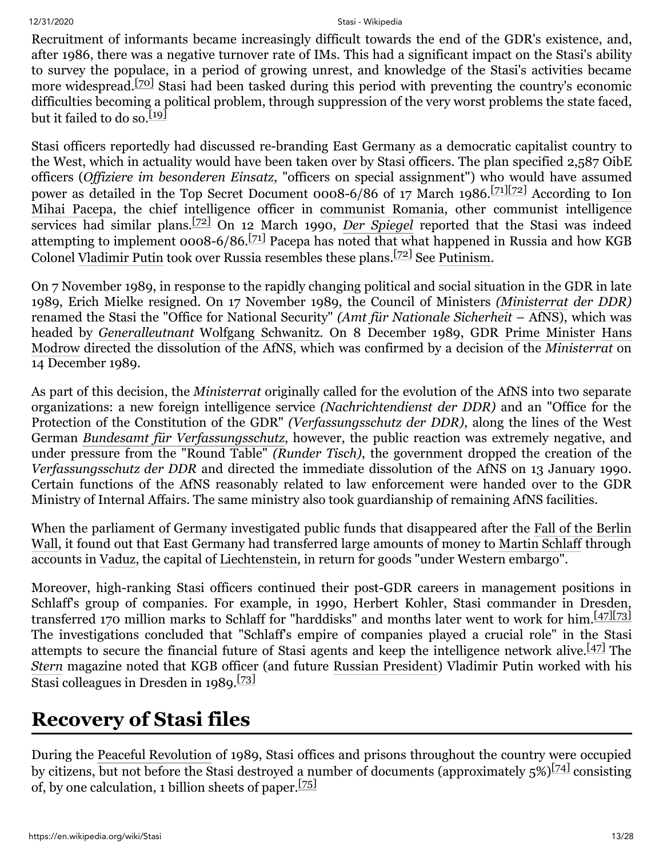Recruitment of informants became increasingly difficult towards the end of the GDR's existence, and, after 1986, there was a negative turnover rate of IMs. This had a significant impact on the Stasi's ability to survey the populace, in a period of growing unrest, and knowledge of the Stasi's activities became more widespread.<sup>[\[70\]](#page-22-18)</sup> Stasi had been tasked during this period with preventing the country's economic difficulties becoming a political problem, through suppression of the very worst problems the state faced, but it failed to do so.<sup>[\[19\]](#page-20-21)</sup>

Stasi officers reportedly had discussed re-branding East Germany as a democratic capitalist country to the West, which in actuality would have been taken over by Stasi officers. The plan specified 2,587 OibE officers (*Offiziere im besonderen Einsatz*, "officers on special assignment") who would have assumed power as detailed in the Top Secret Document 0008-6/86 of 17 March 1986.<sup>[\[71\]](#page-22-19)[\[72\]](#page-22-20)</sup> According to Ion [Mihai Pacepa, the chief intelligence officer in communist Romania, other communist intelligence](https://en.wikipedia.org/wiki/Ion_Mihai_Pacepa) services had similar plans.[\[72\]](#page-22-20) On 12 March 1990, *[Der Spiegel](https://en.wikipedia.org/wiki/Der_Spiegel)* reported that the Stasi was indeed attempting to implement 0008-6/86.<sup>[\[71\]](#page-22-19)</sup> Pacepa has noted that what happened in Russia and how KGB Colonel [Vladimir Putin](https://en.wikipedia.org/wiki/Vladimir_Putin) took over Russia resembles these plans. [\[72\]](#page-22-20) See [Putinism.](https://en.wikipedia.org/wiki/Putinism)

On 7 November 1989, in response to the rapidly changing political and social situation in the GDR in late 1989, Erich Mielke resigned. On 17 November 1989, the Council of Ministers *[\(Ministerrat](https://en.wikipedia.org/wiki/Ministerrat) der DDR)* renamed the Stasi the "Office for National Security" *(Amt für Nationale Sicherheit* – AfNS), which was headed by *[Generalleutnant](https://en.wikipedia.org/wiki/Generalleutnant)* [Wolfgang Schwanitz](https://en.wikipedia.org/wiki/Wolfgang_Schwanitz). On 8 December 1989, GDR [Prime Minister](https://en.wikipedia.org/wiki/Prime_Minister) Hans Modrow [directed the dissolution of the AfNS, which was confirmed by a decision of the](https://en.wikipedia.org/wiki/Hans_Modrow) *Ministerrat* on 14 December 1989.

As part of this decision, the *Ministerrat* originally called for the evolution of the AfNS into two separate organizations: a new foreign intelligence service *(Nachrichtendienst der DDR)* and an "Office for the Protection of the Constitution of the GDR" *(Verfassungsschutz der DDR)*, along the lines of the West German *[Bundesamt für Verfassungsschutz](https://en.wikipedia.org/wiki/Bundesamt_f%C3%BCr_Verfassungsschutz)*, however, the public reaction was extremely negative, and under pressure from the "Round Table" *(Runder Tisch)*, the government dropped the creation of the *Verfassungsschutz der DDR* and directed the immediate dissolution of the AfNS on 13 January 1990. Certain functions of the AfNS reasonably related to law enforcement were handed over to the GDR Ministry of Internal Affairs. The same ministry also took guardianship of remaining AfNS facilities.

When the [parliament of Germany investigated public funds that disappeared after the Fall of the Berlin](https://en.wikipedia.org/wiki/Fall_of_the_Berlin_Wall) Wall, it found out that East Germany had transferred large amounts of money to [Martin Schlaff](https://en.wikipedia.org/wiki/Martin_Schlaff) through accounts in [Vaduz](https://en.wikipedia.org/wiki/Vaduz), the capital of [Liechtenstein,](https://en.wikipedia.org/wiki/Liechtenstein) in return for goods "under Western embargo".

Moreover, high-ranking Stasi officers continued their post-GDR careers in management positions in Schlaff's group of companies. For example, in 1990, Herbert Kohler, Stasi commander in Dresden, transferred 170 million marks to Schlaff for "harddisks" and months later went to work for him.<sup>[\[47\]](#page-21-25)[\[73\]](#page-23-0)</sup> The investigations concluded that "Schlaff's empire of companies played a crucial role" in the Stasi attempts to secure the financial future of Stasi agents and keep the intelligence network alive.  $\frac{[47]}{[42]}$  $\frac{[47]}{[42]}$  $\frac{[47]}{[42]}$  The *[Stern](https://en.wikipedia.org/wiki/Stern_(magazine))* magazine noted that KGB officer (and future [Russian President](https://en.wikipedia.org/wiki/President_of_Russia)) Vladimir Putin worked with his Stasi colleagues in Dresden in 1989.<sup>[\[73\]](#page-23-0)</sup>

## <span id="page-12-0"></span>**Recovery of Stasi files**

During the [Peaceful Revolution](https://en.wikipedia.org/wiki/Peaceful_Revolution_(German)) of 1989, Stasi offices and prisons throughout the country were occupied by citizens, but not before the Stasi destroyed a number of documents (approximately  $5\sqrt{54}$  consisting of, by one calculation, 1 billion sheets of paper.<sup>[\[75\]](#page-23-2)</sup>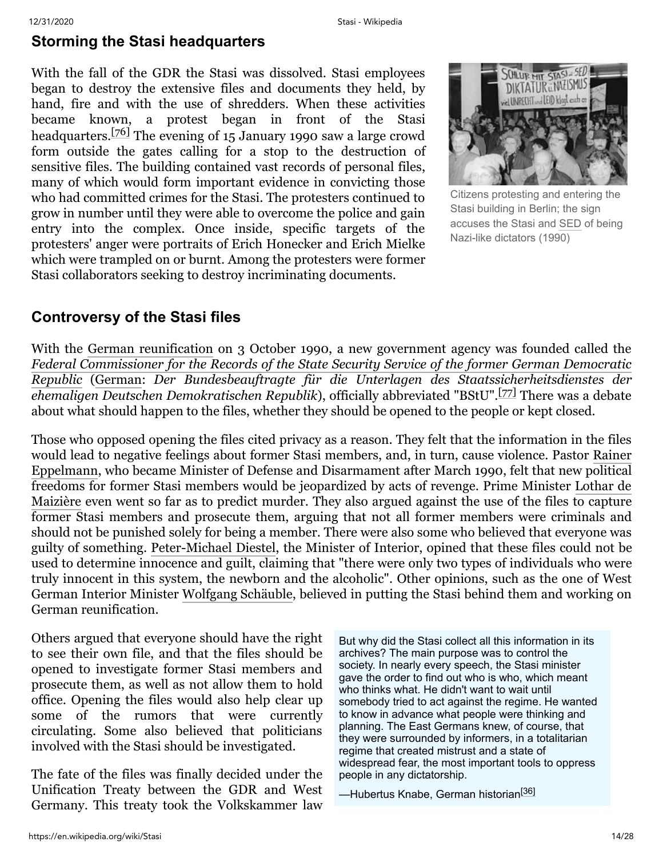#### <span id="page-13-0"></span>**Storming the Stasi headquarters**

With the fall of the GDR the Stasi was dissolved. Stasi employees began to destroy the extensive files and documents they held, by hand, fire and with the use of shredders. When these activities became known, a protest began in front of the Stasi headquarters.[\[76\]](#page-23-3) The evening of 15 January 1990 saw a large crowd form outside the gates calling for a stop to the destruction of sensitive files. The building contained vast records of personal files, many of which would form important evidence in convicting those who had committed crimes for the Stasi. The protesters continued to grow in number until they were able to overcome the police and gain entry into the complex. Once inside, specific targets of the protesters' anger were portraits of Erich Honecker and Erich Mielke which were trampled on or burnt. Among the protesters were former Stasi collaborators seeking to destroy incriminating documents.



Citizens protesting and entering the Stasi building in Berlin; the sign accuses the Stasi and [SED](https://en.wikipedia.org/wiki/Socialist_Unity_Party_of_Germany) of being Nazi-like dictators (1990)

#### <span id="page-13-1"></span>**Controversy of the Stasi files**

With the [German reunification](https://en.wikipedia.org/wiki/German_reunification) on 3 October 1990, a new government agency was founded called the *[Federal Commissioner for the Records of the State Security Service of the former German Democratic](https://en.wikipedia.org/wiki/Federal_Commissioner_for_the_Stasi_Records) Republic* ([German](https://en.wikipedia.org/wiki/German_language): *Der Bundesbeauftragte für die Unterlagen des Staatssicherheitsdienstes der ehemaligen Deutschen Demokratischen Republik*), officially abbreviated "BStU".[\[77\]](#page-23-4) There was a debate about what should happen to the files, whether they should be opened to the people or kept closed.

Those who opposed opening the files cited privacy as a reason. They felt that the information in the files [would lead to negative feelings about former Stasi members, and, in turn, cause violence. Pastor Rainer](https://en.wikipedia.org/wiki/Rainer_Eppelmann) Eppelmann, who became Minister of Defense and Disarmament after March 1990, felt that new political [freedoms for former Stasi members would be jeopardized by acts of revenge. Prime Minister Lothar de](https://en.wikipedia.org/wiki/Lothar_de_Maizi%C3%A8re) Maizière even went so far as to predict murder. They also argued against the use of the files to capture former Stasi members and prosecute them, arguing that not all former members were criminals and should not be punished solely for being a member. There were also some who believed that everyone was guilty of something. [Peter-Michael Diestel,](https://en.wikipedia.org/wiki/Peter-Michael_Diestel) the Minister of Interior, opined that these files could not be used to determine innocence and guilt, claiming that "there were only two types of individuals who were truly innocent in this system, the newborn and the alcoholic". Other opinions, such as the one of West German Interior Minister [Wolfgang Schäuble](https://en.wikipedia.org/wiki/Wolfgang_Sch%C3%A4uble), believed in putting the Stasi behind them and working on German reunification.

Others argued that everyone should have the right to see their own file, and that the files should be opened to investigate former Stasi members and prosecute them, as well as not allow them to hold office. Opening the files would also help clear up some of the rumors that were currently circulating. Some also believed that politicians involved with the Stasi should be investigated.

The fate of the files was finally decided under the Unification Treaty between the GDR and West Germany. This treaty took the Volkskammer law But why did the Stasi collect all this information in its archives? The main purpose was to control the society. In nearly every speech, the Stasi minister gave the order to find out who is who, which meant who thinks what. He didn't want to wait until somebody tried to act against the regime. He wanted to know in advance what people were thinking and planning. The East Germans knew, of course, that they were surrounded by informers, in a totalitarian regime that created mistrust and a state of widespread fear, the most important tools to oppress people in any dictatorship.

—Hubertus Knabe, German historian<sup>[\[36\]](#page-21-14)</sup>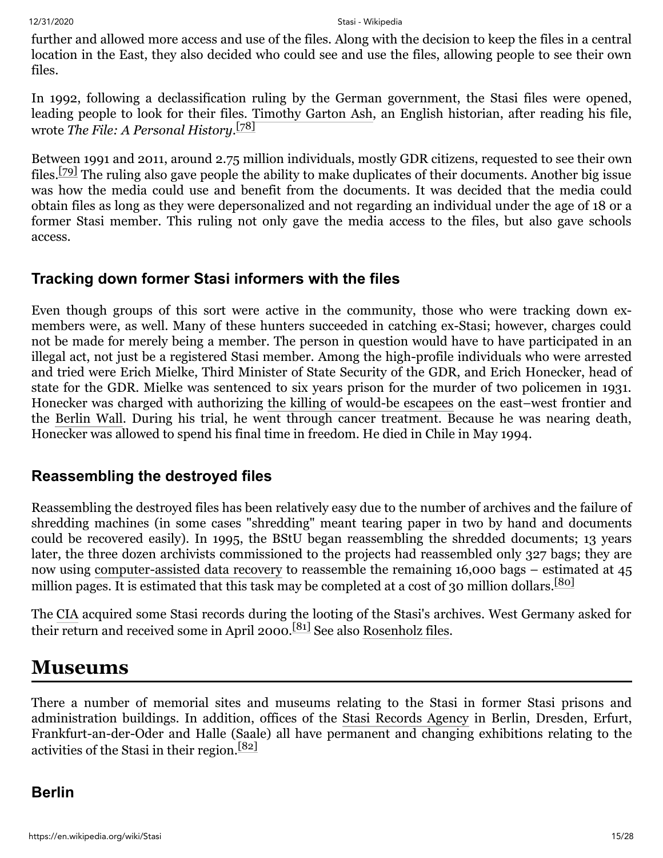further and allowed more access and use of the files. Along with the decision to keep the files in a central location in the East, they also decided who could see and use the files, allowing people to see their own files.

In 1992, following a declassification ruling by the German government, the Stasi files were opened, leading people to look for their files. [Timothy Garton Ash,](https://en.wikipedia.org/wiki/Timothy_Garton_Ash) an English historian, after reading his file, wrote *The File: A Personal History*. [\[78\]](#page-23-5)

Between 1991 and 2011, around 2.75 million individuals, mostly GDR citizens, requested to see their own files.[\[79\]](#page-23-6) The ruling also gave people the ability to make duplicates of their documents. Another big issue was how the media could use and benefit from the documents. It was decided that the media could obtain files as long as they were depersonalized and not regarding an individual under the age of 18 or a former Stasi member. This ruling not only gave the media access to the files, but also gave schools access.

#### <span id="page-14-0"></span>**Tracking down former Stasi informers with the files**

Even though groups of this sort were active in the community, those who were tracking down exmembers were, as well. Many of these hunters succeeded in catching ex-Stasi; however, charges could not be made for merely being a member. The person in question would have to have participated in an illegal act, not just be a registered Stasi member. Among the high-profile individuals who were arrested and tried were Erich Mielke, Third Minister of State Security of the GDR, and Erich Honecker, head of state for the GDR. Mielke was sentenced to six years prison for the murder of two policemen in 1931. Honecker was charged with authorizing [the killing of would-be escapees](https://en.wikipedia.org/wiki/Schie%C3%9Fbefehl) on the east–west frontier and the [Berlin Wall.](https://en.wikipedia.org/wiki/Berlin_Wall) During his trial, he went through cancer treatment. Because he was nearing death, Honecker was allowed to spend his final time in freedom. He died in Chile in May 1994.

#### <span id="page-14-1"></span>**Reassembling the destroyed files**

Reassembling the destroyed files has been relatively easy due to the number of archives and the failure of shredding machines (in some cases "shredding" meant tearing paper in two by hand and documents could be recovered easily). In 1995, the BStU began reassembling the shredded documents; 13 years later, the three dozen archivists commissioned to the projects had reassembled only 327 bags; they are now using [computer-assisted data recovery](https://en.wikipedia.org/wiki/Paper_shredder#Unshredding_and_forensics) to reassemble the remaining 16,000 bags – estimated at 45 million pages. It is estimated that this task may be completed at a cost of 30 million dollars.<sup>[\[80\]](#page-23-7)</sup>

The [CIA](https://en.wikipedia.org/wiki/Central_Intelligence_Agency) acquired some Stasi records during the looting of the Stasi's archives. West Germany asked for their return and received some in April 2000.[\[81\]](#page-23-8) See also [Rosenholz files](https://en.wikipedia.org/wiki/Rosenholz_files).

## <span id="page-14-2"></span>**Museums**

There a number of memorial sites and museums relating to the Stasi in former Stasi prisons and administration buildings. In addition, offices of the [Stasi Records Agency](https://en.wikipedia.org/wiki/Stasi_Records_Agency) in Berlin, Dresden, Erfurt, Frankfurt-an-der-Oder and Halle (Saale) all have permanent and changing exhibitions relating to the activities of the Stasi in their region.[\[82\]](#page-23-9)

#### <span id="page-14-3"></span>**Berlin**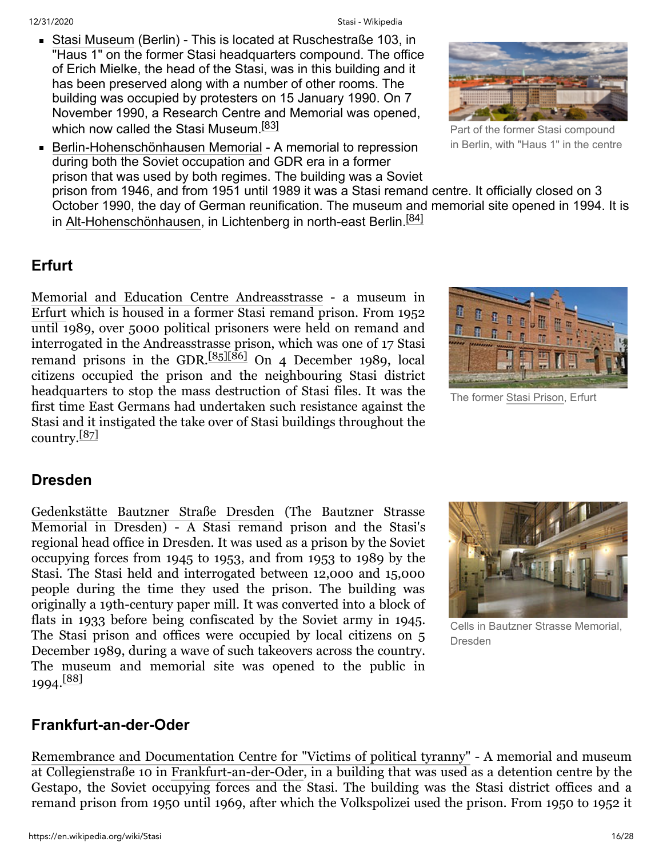- [Stasi Museum](https://en.wikipedia.org/wiki/Stasi_Museum) (Berlin) This is located at Ruschestraße 103, in "Haus 1" on the former Stasi headquarters compound. The office of Erich Mielke, the head of the Stasi, was in this building and it has been preserved along with a number of other rooms. The building was occupied by protesters on 15 January 1990. On 7 November 1990, a Research Centre and Memorial was opened, which now called the Stasi Museum.<sup>[\[83\]](#page-23-10)</sup>
- [Berlin-Hohenschönhausen Memorial](https://en.wikipedia.org/wiki/Berlin-Hohensch%C3%B6nhausen_Memorial) A memorial to repression during both the Soviet occupation and GDR era in a former prison that was used by both regimes. The building was a Soviet



Part of the former Stasi compound in Berlin, with "Haus 1" in the centre

prison from 1946, and from 1951 until 1989 it was a Stasi remand centre. It officially closed on 3 October 1990, the day of German reunification. The museum and memorial site opened in 1994. It is in [Alt-Hohenschönhausen,](https://en.wikipedia.org/wiki/Alt-Hohensch%C3%B6nhausen) in Lichtenberg in north-east Berlin.<sup>[\[84\]](#page-23-11)</sup>

### <span id="page-15-0"></span>**Erfurt**

[Memorial and Education Centre Andreasstrasse](https://en.wikipedia.org/wiki/Memorial_and_Education_Centre_Andreasstrasse) - a museum in [Erfurt](https://en.wikipedia.org/wiki/Erfurt) which is housed in a former Stasi remand prison. From 1952 until 1989, over 5000 political prisoners were held on remand and interrogated in the Andreasstrasse prison, which was one of 17 Stasi remand prisons in the GDR. $[85][86]$  $[85][86]$  On 4 December 1989, local citizens occupied the prison and the neighbouring Stasi district headquarters to stop the mass destruction of Stasi files. It was the first time East Germans had undertaken such resistance against the Stasi and it instigated the take over of Stasi buildings throughout the country. $[87]$ 



The former Stasi [Prison,](https://en.wikipedia.org/wiki/Stasi_Prison_(Erfurt)) Erfurt

### <span id="page-15-1"></span>**Dresden**

[Gedenkstätte Bautzner Straße Dresden](https://en.wikipedia.org/w/index.php?title=Gedenkst%C3%A4tte_Bautzner_Stra%C3%9Fe_Dresden&action=edit&redlink=1) (The Bautzner Strasse Memorial in Dresden) - A Stasi remand prison and the Stasi's regional head office in Dresden. It was used as a prison by the Soviet occupying forces from 1945 to 1953, and from 1953 to 1989 by the Stasi. The Stasi held and interrogated between 12,000 and 15,000 people during the time they used the prison. The building was originally a 19th-century paper mill. It was converted into a block of flats in 1933 before being confiscated by the Soviet army in 1945. The Stasi prison and offices were occupied by local citizens on 5 December 1989, during a wave of such takeovers across the country. The museum and memorial site was opened to the public in 1994.[\[88\]](#page-23-15)



Cells in Bautzner Strasse Memorial, Dresden

#### <span id="page-15-2"></span>**Frankfurt-an-der-Oder**

[Remembrance and Documentation Centre for "Victims of political tyranny"](https://en.wikipedia.org/w/index.php?title=Remembrance_and_Documentation_Centre_for_%22Victims_of_political_tyranny%22&action=edit&redlink=1) - A memorial and museum at Collegienstraße 10 in [Frankfurt-an-der-Oder](https://en.wikipedia.org/wiki/Frankfurt-an-der-Oder), in a building that was used as a detention centre by the Gestapo, the Soviet occupying forces and the Stasi. The building was the Stasi district offices and a remand prison from 1950 until 1969, after which the Volkspolizei used the prison. From 1950 to 1952 it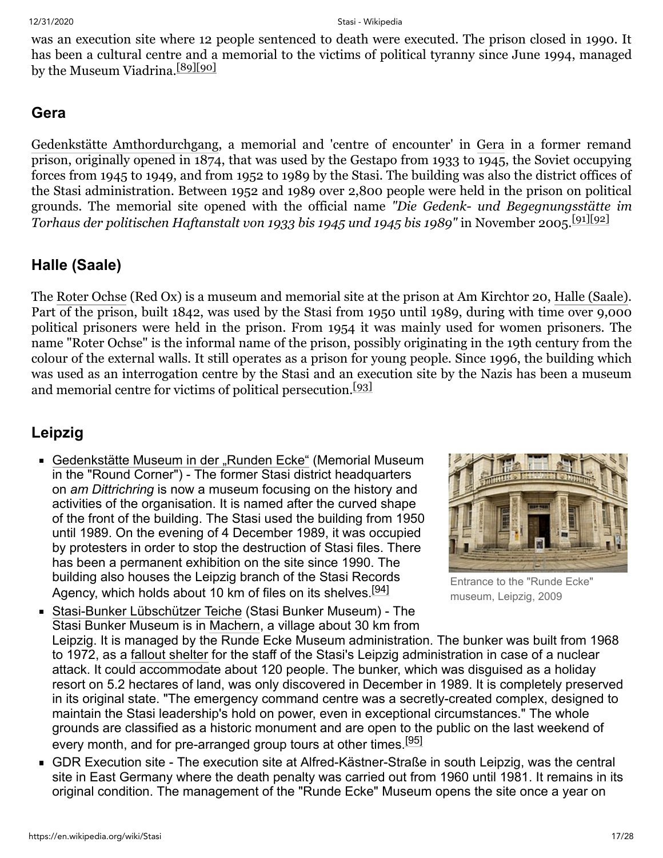was an execution site where 12 people sentenced to death were executed. The prison closed in 1990. It has been a cultural centre and a memorial to the victims of political tyranny since June 1994, managed by the Museum Viadrina.<sup>[\[89\]](#page-23-16)[\[90\]](#page-23-17)</sup>

#### <span id="page-16-0"></span>**Gera**

[Gedenkstätte Amthordurchgang,](https://en.wikipedia.org/w/index.php?title=Gedenkst%C3%A4tte_Amthordurchgang&action=edit&redlink=1) a memorial and 'centre of encounter' in [Gera](https://en.wikipedia.org/wiki/Gera) in a former remand prison, originally opened in 1874, that was used by the Gestapo from 1933 to 1945, the Soviet occupying forces from 1945 to 1949, and from 1952 to 1989 by the Stasi. The building was also the district offices of the Stasi administration. Between 1952 and 1989 over 2,800 people were held in the prison on political grounds. The memorial site opened with the official name *"Die Gedenk- und Begegnungsstätte im Torhaus der politischen Haftanstalt von 1933 bis 1945 und 1945 bis 1989*" in November 2005.<sup>[\[91\]](#page-23-18)[\[92\]](#page-23-19)</sup>

### <span id="page-16-1"></span>**Halle (Saale)**

The [Roter Ochse](https://en.wikipedia.org/w/index.php?title=Roter_Ochse&action=edit&redlink=1) (Red Ox) is a museum and memorial site at the prison at Am Kirchtor 20, [Halle \(Saale\)](https://en.wikipedia.org/wiki/Halle_(Saale)). Part of the prison, built 1842, was used by the Stasi from 1950 until 1989, during with time over 9,000 political prisoners were held in the prison. From 1954 it was mainly used for women prisoners. The name "Roter Ochse" is the informal name of the prison, possibly originating in the 19th century from the colour of the external walls. It still operates as a prison for young people. Since 1996, the building which was used as an interrogation centre by the Stasi and an execution site by the Nazis has been a museum and memorial centre for victims of political persecution.<sup>[\[93\]](#page-23-20)</sup>

## <span id="page-16-2"></span>**Leipzig**

■ [Gedenkstätte Museum in der "Runden Ecke"](https://en.wikipedia.org/w/index.php?title=Gedenkst%C3%A4tte_Museum_in_der_%E2%80%9ERunden_Ecke%E2%80%9C&action=edit&redlink=1) (Memorial Museum in the "Round Corner") - The former Stasi district headquarters on *am Dittrichring* is now a museum focusing on the history and activities of the organisation. It is named after the curved shape of the front of the building. The Stasi used the building from 1950 until 1989. On the evening of 4 December 1989, it was occupied by protesters in order to stop the destruction of Stasi files. There has been a permanent exhibition on the site since 1990. The building also houses the Leipzig branch of the Stasi Records Agency, which holds about 10 km of files on its shelves.<sup>[\[94\]](#page-24-0)</sup>



Entrance to the "Runde Ecke" museum, Leipzig, 2009

[Stasi-Bunker Lübschützer Teiche](https://en.wikipedia.org/w/index.php?title=Stasi-Bunker_L%C3%BCbsch%C3%BCtzer_Teiche&action=edit&redlink=1) (Stasi Bunker Museum) - The Stasi Bunker Museum is in [Machern](https://en.wikipedia.org/wiki/Machern), a village about 30 km from Leipzig. It is managed by the Runde Ecke Museum administration. The bunker was built from 1968 to 1972, as a [fallout shelter](https://en.wikipedia.org/wiki/Fallout_shelter) for the staff of the Stasi's Leipzig administration in case of a nuclear attack. It could accommodate about 120 people. The bunker, which was disguised as a holiday resort on 5.2 hectares of land, was only discovered in December in 1989. It is completely preserved in its original state. "The emergency command centre was a secretly-created complex, designed to maintain the Stasi leadership's hold on power, even in exceptional circumstances." The whole grounds are classified as a historic monument and are open to the public on the last weekend of every month, and for pre-arranged group tours at other times.<sup>[\[95\]](#page-24-1)</sup>

■ GDR Execution site - The execution site at Alfred-Kästner-Straße in south Leipzig, was the central site in East Germany where the death penalty was carried out from 1960 until 1981. It remains in its original condition. The management of the "Runde Ecke" Museum opens the site once a year on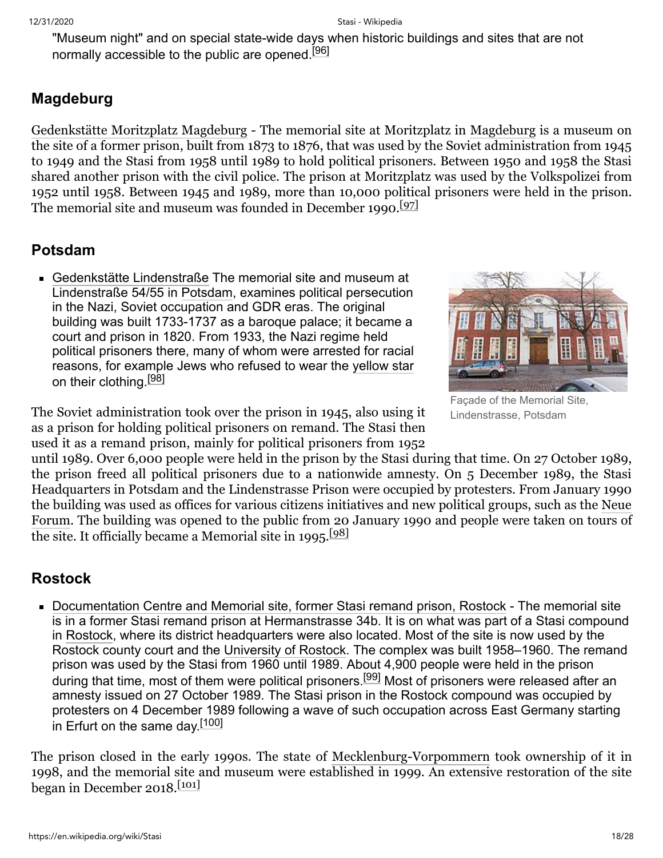"Museum night" and on special state-wide days when historic buildings and sites that are not normally accessible to the public are opened.<sup>[\[96\]](#page-24-2)</sup>

### <span id="page-17-0"></span>**Magdeburg**

[Gedenkstätte Moritzplatz Magdeburg](https://en.wikipedia.org/w/index.php?title=Gedenkst%C3%A4tte_Moritzplatz_Magdeburg&action=edit&redlink=1) - The memorial site at Moritzplatz in [Magdeburg](https://en.wikipedia.org/wiki/Magdeburg) is a museum on the site of a former prison, built from 1873 to 1876, that was used by the Soviet administration from 1945 to 1949 and the Stasi from 1958 until 1989 to hold political prisoners. Between 1950 and 1958 the Stasi shared another prison with the civil police. The prison at Moritzplatz was used by the Volkspolizei from 1952 until 1958. Between 1945 and 1989, more than 10,000 political prisoners were held in the prison. The memorial site and museum was founded in December 1990.<sup>[\[97\]](#page-24-3)</sup>

#### <span id="page-17-1"></span>**Potsdam**

[Gedenkstätte Lindenstraße](https://en.wikipedia.org/w/index.php?title=Gedenkst%C3%A4tte_Lindenstra%C3%9Fe&action=edit&redlink=1) The memorial site and museum at Lindenstraße 54/55 in [Potsdam,](https://en.wikipedia.org/wiki/Potsdam) examines political persecution in the Nazi, Soviet occupation and GDR eras. The original building was built 1733-1737 as a baroque palace; it became a court and prison in 1820. From 1933, the Nazi regime held political prisoners there, many of whom were arrested for racial reasons, for example Jews who refused to wear the [yellow star](https://en.wikipedia.org/wiki/Yellow_badge) on their clothing.<sup>[\[98\]](#page-24-4)</sup>



Façade of the Memorial Site, Lindenstrasse, Potsdam

The Soviet administration took over the prison in 1945, also using it as a prison for holding political prisoners on remand. The Stasi then used it as a remand prison, mainly for political prisoners from 1952

until 1989. Over 6,000 people were held in the prison by the Stasi during that time. On 27 October 1989, the prison freed all political prisoners due to a nationwide amnesty. On 5 December 1989, the Stasi Headquarters in Potsdam and the Lindenstrasse Prison were occupied by protesters. From January 1990 [the building was used as offices for various citizens initiatives and new political groups, such as the Neue](https://en.wikipedia.org/wiki/New_Forum) Forum. The building was opened to the public from 20 January 1990 and people were taken on tours of the site. It officially became a Memorial site in 1995.<sup>[\[98\]](#page-24-4)</sup>

#### <span id="page-17-2"></span>**Rostock**

[Documentation Centre and Memorial site, former Stasi remand prison, Rostock](https://en.wikipedia.org/w/index.php?title=Documentation_Centre_and_Memorial_site,_former_Stasi_remand_prison,_Rostock&action=edit&redlink=1) - The memorial site is in a former Stasi remand prison at Hermanstrasse 34b. It is on what was part of a Stasi compound in [Rostock](https://en.wikipedia.org/wiki/Rostock), where its district headquarters were also located. Most of the site is now used by the Rostock county court and the [University of Rostock.](https://en.wikipedia.org/wiki/University_of_Rostock) The complex was built 1958–1960. The remand prison was used by the Stasi from 1960 until 1989. About 4,900 people were held in the prison during that time, most of them were political prisoners.<sup>[\[99\]](#page-24-5)</sup> Most of prisoners were released after an amnesty issued on 27 October 1989. The Stasi prison in the Rostock compound was occupied by protesters on 4 December 1989 following a wave of such occupation across East Germany starting in Erfurt on the same day.<sup>[\[100\]](#page-24-6)</sup>

The prison closed in the early 1990s. The state of [Mecklenburg-Vorpommern](https://en.wikipedia.org/wiki/Mecklenburg-Vorpommern) took ownership of it in 1998, and the memorial site and museum were established in 1999. An extensive restoration of the site began in December 2018. $\frac{[101]}{]}$  $\frac{[101]}{]}$  $\frac{[101]}{]}$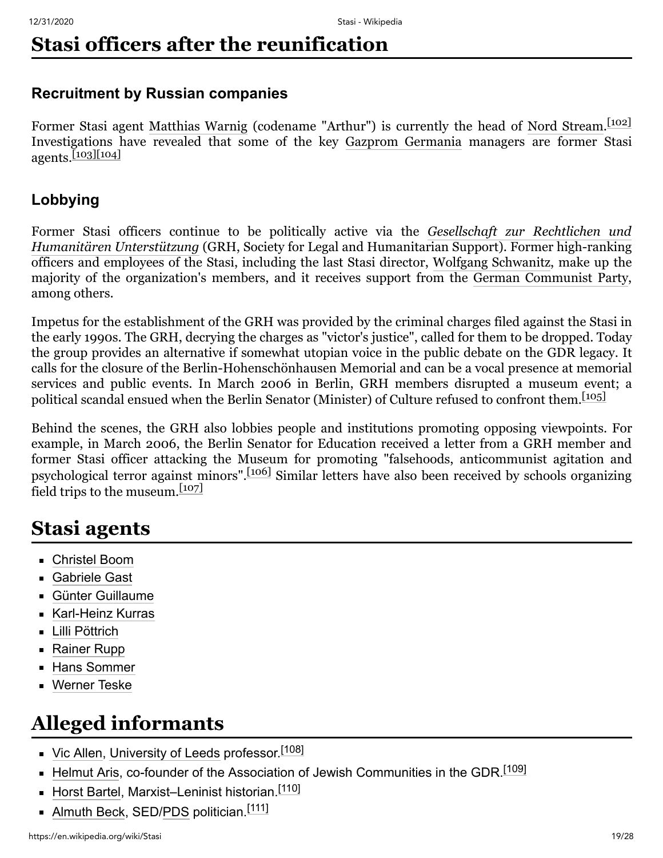# <span id="page-18-0"></span>**Stasi officers after the reunification**

#### <span id="page-18-1"></span>**Recruitment by Russian companies**

Former Stasi agent [Matthias Warnig](https://en.wikipedia.org/wiki/Matthias_Warnig) (codename "Arthur") is currently the head of [Nord Stream.](https://en.wikipedia.org/wiki/Nord_Stream_AG) [\[102\]](#page-24-8) Investigations have revealed that some of the key [Gazprom Germania](https://en.wikipedia.org/wiki/Gazprom_Germania) managers are former Stasi  $a$ gents.<sup>[\[103\]](#page-24-9)[\[104\]](#page-24-10)</sup>

#### <span id="page-18-2"></span>**Lobbying**

[Former Stasi officers continue to be politically active via the](https://en.wikipedia.org/wiki/Gesellschaft_zur_Rechtlichen_und_Humanit%C3%A4ren_Unterst%C3%BCtzung) *Gesellschaft zur Rechtlichen und Humanitären Unterstützung* (GRH, Society for Legal and Humanitarian Support). Former high-ranking officers and employees of the Stasi, including the last Stasi director, [Wolfgang Schwanitz](https://en.wikipedia.org/wiki/Wolfgang_Schwanitz), make up the majority of the organization's members, and it receives support from the [German Communist Party](https://en.wikipedia.org/wiki/German_Communist_Party), among others.

Impetus for the establishment of the GRH was provided by the criminal charges filed against the Stasi in the early 1990s. The GRH, decrying the charges as "victor's justice", called for them to be dropped. Today the group provides an alternative if somewhat utopian voice in the public debate on the GDR legacy. It calls for the closure of the Berlin-Hohenschönhausen Memorial and can be a vocal presence at memorial services and public events. In March 2006 in Berlin, GRH members disrupted a museum event; a political scandal ensued when the Berlin Senator (Minister) of Culture refused to confront them. [\[105\]](#page-24-11)

Behind the scenes, the GRH also lobbies people and institutions promoting opposing viewpoints. For example, in March 2006, the Berlin Senator for Education received a letter from a GRH member and former Stasi officer attacking the Museum for promoting "falsehoods, anticommunist agitation and psychological terror against minors".[\[106\]](#page-24-12) Similar letters have also been received by schools organizing field trips to the museum.[\[107\]](#page-24-13)

## <span id="page-18-3"></span>**Stasi agents**

- [Christel Boom](https://en.wikipedia.org/wiki/Christel_Boom)
- [Gabriele Gast](https://en.wikipedia.org/wiki/Gabriele_Gast)
- [Günter Guillaume](https://en.wikipedia.org/wiki/G%C3%BCnter_Guillaume)
- [Karl-Heinz Kurras](https://en.wikipedia.org/wiki/Karl-Heinz_Kurras)
- [Lilli Pöttrich](https://en.wikipedia.org/wiki/Lilli_P%C3%B6ttrich)
- [Rainer Rupp](https://en.wikipedia.org/wiki/Rainer_Rupp)
- **[Hans Sommer](https://en.wikipedia.org/wiki/Hans_Sommer_(SS_officer))**
- [Werner Teske](https://en.wikipedia.org/wiki/Werner_Teske)

## <span id="page-18-4"></span>**Alleged informants**

- [Vic Allen,](https://en.wikipedia.org/wiki/Vic_Allen) [University of Leeds](https://en.wikipedia.org/wiki/University_of_Leeds) professor.<sup>[\[108\]](#page-24-14)</sup>
- [Helmut Aris](https://en.wikipedia.org/wiki/Helmut_Aris), co-founder of the Association of Jewish Communities in the GDR.<sup>[\[109\]](#page-24-15)</sup>
- [Horst Bartel,](https://en.wikipedia.org/wiki/Horst_Bartel) Marxist–Leninist historian.<sup>[\[110\]](#page-24-16)</sup>
- [Almuth Beck](https://en.wikipedia.org/wiki/Almuth_Beck), SED[/PDS](https://en.wikipedia.org/wiki/Party_of_Democratic_Socialism_(Germany)) politician.<sup>[\[111\]](#page-24-17)</sup>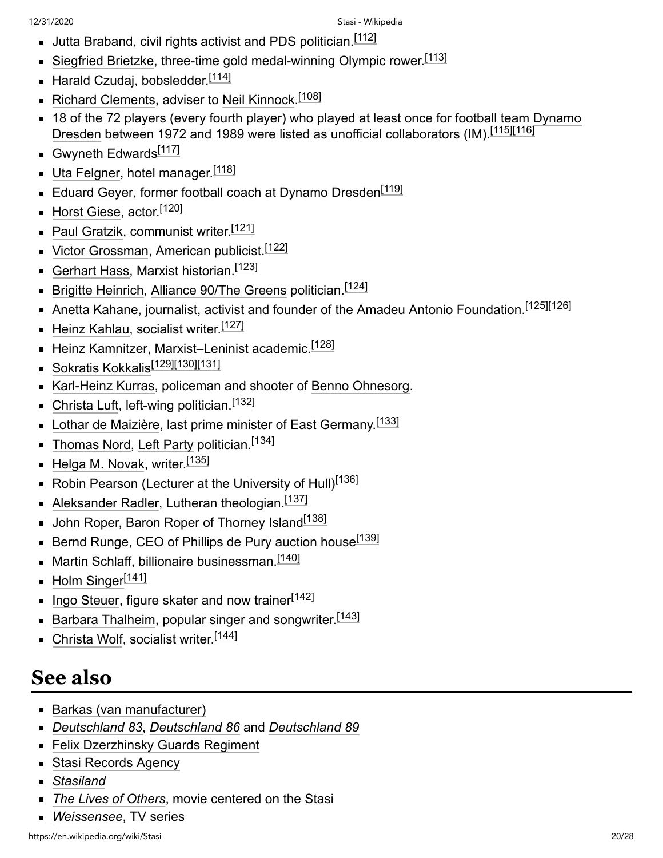- Uutta Braband, civil rights activist and PDS politician.<sup>[\[112\]](#page-24-18)</sup>
- [Siegfried Brietzke](https://en.wikipedia.org/wiki/Siegfried_Brietzke), three-time gold medal-winning Olympic rower.<sup>[\[113\]](#page-24-19)</sup>
- [Harald Czudaj](https://en.wikipedia.org/wiki/Harald_Czudaj), bobsledder.<sup>[\[114\]](#page-25-0)</sup>
- [Richard Clements,](https://en.wikipedia.org/wiki/Richard_Clements_(journalist)) adviser to [Neil Kinnock](https://en.wikipedia.org/wiki/Neil_Kinnock).<sup>[\[108\]](#page-24-14)</sup>
- [18 of the 72 players \(every fourth player\) who played at least once for football team Dynamo](https://en.wikipedia.org/wiki/Dynamo_Dresden) Dresden between 1972 and 1989 were listed as unofficial collaborators (IM).<sup>[\[115\]](#page-25-1)[\[116\]](#page-25-2)</sup>
- Gwyneth Edwards<sup>[\[117\]](#page-25-3)</sup>
- [Uta Felgner,](https://en.wikipedia.org/wiki/Uta_Felgner) hotel manager.<sup>[\[118\]](#page-25-4)</sup>
- $\blacksquare$  [Eduard Geyer,](https://en.wikipedia.org/wiki/Eduard_Geyer) former football coach at Dynamo Dresden $^{[119]}$  $^{[119]}$  $^{[119]}$
- [Horst Giese,](https://en.wikipedia.org/wiki/Horst_Giese) actor.<sup>[\[120\]](#page-25-6)</sup>
- [Paul Gratzik,](https://en.wikipedia.org/wiki/Paul_Gratzik) communist writer. [\[121\]](#page-25-7)
- [Victor Grossman](https://en.wikipedia.org/wiki/Victor_Grossman), American publicist.<sup>[\[122\]](#page-25-8)</sup>
- [Gerhart Hass,](https://en.wikipedia.org/wiki/Gerhart_Hass) Marxist historian.<sup>[\[123\]](#page-25-9)</sup>
- [Brigitte Heinrich,](https://en.wikipedia.org/wiki/Brigitte_Heinrich) [Alliance 90/The Greens](https://en.wikipedia.org/wiki/Alliance_90/The_Greens) politician.<sup>[\[124\]](#page-25-10)</sup>
- [Anetta Kahane](https://en.wikipedia.org/wiki/Anetta_Kahane), journalist, activist and founder of the [Amadeu Antonio Foundation.](https://en.wikipedia.org/wiki/Amadeu_Antonio_Foundation)<sup>[\[125\]](#page-25-11)[\[126\]](#page-25-12)</sup>
- [Heinz Kahlau,](https://en.wikipedia.org/wiki/Heinz_Kahlau) socialist writer.<sup>[\[127\]](#page-25-13)</sup>
- $\blacksquare$  [Heinz Kamnitzer](https://en.wikipedia.org/wiki/Heinz_Kamnitzer), Marxist–Leninist academic. $^{[128]}$  $^{[128]}$  $^{[128]}$
- [Sokratis Kokkalis](https://en.wikipedia.org/wiki/Sokratis_Kokkalis)<sup>[\[129\]](#page-25-15)[\[130\]](#page-25-16)[\[131\]](#page-25-17)</sup>
- [Karl-Heinz Kurras,](https://en.wikipedia.org/wiki/Karl-Heinz_Kurras) policeman and shooter of [Benno Ohnesorg](https://en.wikipedia.org/wiki/Death_of_Benno_Ohnesorg).
- [Christa Luft](https://en.wikipedia.org/wiki/Christa_Luft), left-wing politician.<sup>[\[132\]](#page-25-18)</sup>
- [Lothar de Maizière](https://en.wikipedia.org/wiki/Lothar_de_Maizi%C3%A8re), last prime minister of East Germany.<sup>[\[133\]](#page-26-1)</sup>
- $\blacksquare$  [Thomas Nord,](https://en.wikipedia.org/wiki/Thomas_Nord) [Left Party](https://en.wikipedia.org/wiki/The_Left_(Germany)) politician. $^{[134]}$  $^{[134]}$  $^{[134]}$
- [Helga M. Novak](https://en.wikipedia.org/wiki/Helga_M._Novak), writer.[\[135\]](#page-26-3)
- $\blacksquare$  Robin Pearson (Lecturer at the University of Hull) $^{[136]}$  $^{[136]}$  $^{[136]}$
- [Aleksander Radler,](https://en.wikipedia.org/wiki/Aleksander_Radler) Lutheran theologian.<sup>[\[137\]](#page-26-5)</sup>
- **[John Roper, Baron Roper of Thorney Island](https://en.wikipedia.org/wiki/John_Roper,_Baron_Roper_of_Thorney_Island)**<sup>[\[138\]](#page-26-6)</sup>
- $\blacksquare$  Bernd Runge, CEO of Phillips de Pury auction house $^{[139]}$  $^{[139]}$  $^{[139]}$
- [Martin Schlaff](https://en.wikipedia.org/wiki/Martin_Schlaff), billionaire businessman.<sup>[\[140\]](#page-26-8)</sup>
- [Holm Singer](https://en.wikipedia.org/wiki/Holm_Singer)<sup>[\[141\]](#page-26-9)</sup>
- [Ingo Steuer](https://en.wikipedia.org/wiki/Ingo_Steuer), figure skater and now trainer<sup>[\[142\]](#page-26-10)</sup>
- [Barbara Thalheim,](https://en.wikipedia.org/wiki/Barbara_Thalheim) popular singer and songwriter.<sup>[\[143\]](#page-26-11)</sup>
- [Christa Wolf](https://en.wikipedia.org/wiki/Christa_Wolf), socialist writer.<sup>[\[144\]](#page-26-12)</sup>

# <span id="page-19-0"></span>**See also**

- **[Barkas \(van manufacturer\)](https://en.wikipedia.org/wiki/Barkas_(van_manufacturer))**
- *[Deutschland 83](https://en.wikipedia.org/wiki/Deutschland_83)*, *[Deutschland 86](https://en.wikipedia.org/wiki/Deutschland_86)* and *[Deutschland 89](https://en.wikipedia.org/wiki/Deutschland_89)*
- [Felix Dzerzhinsky Guards Regiment](https://en.wikipedia.org/wiki/Felix_Dzerzhinsky_Guards_Regiment)
- **[Stasi Records Agency](https://en.wikipedia.org/wiki/Stasi_Records_Agency)**
- *[Stasiland](https://en.wikipedia.org/wiki/Stasiland)*
- *[The Lives of Others](https://en.wikipedia.org/wiki/The_Lives_of_Others)*, movie centered on the Stasi
- *[Weissensee](https://en.wikipedia.org/wiki/Weissensee_(TV_series))*, TV series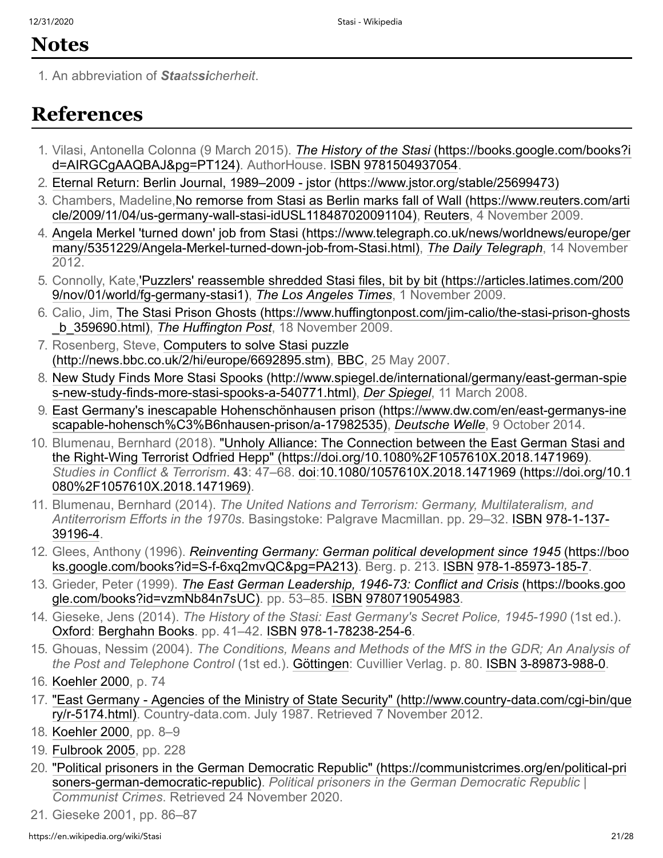## <span id="page-20-12"></span>**Notes**

<span id="page-20-1"></span>1. An abbreviation of *Staatssicherheit*.

## <span id="page-20-13"></span>**References**

- <span id="page-20-0"></span>1. Vilasi, Antonella Colonna (9 March 2015). *The History of the Stasi* (https://books.google.com/books?i [d=AIRGCgAAQBAJ&pg=PT124\). AuthorHouse. ISBN](https://books.google.com/books?id=AIRGCgAAQBAJ&pg=PT124) [9781504937054](https://en.wikipedia.org/wiki/Special:BookSources/9781504937054).
- <span id="page-20-11"></span>2. [Eternal Return: Berlin Journal, 1989–2009 - jstor \(https://www.jstor.org/stable/25699473\)](https://www.jstor.org/stable/25699473)
- <span id="page-20-2"></span>3. [Chambers, Madeline,No remorse from Stasi as Berlin marks fall of Wall \(https://www.reuters.com/arti](https://www.reuters.com/article/2009/11/04/us-germany-wall-stasi-idUSL118487020091104) cle/2009/11/04/us-germany-wall-stasi-idUSL118487020091104), [Reuters,](https://en.wikipedia.org/wiki/Reuters) 4 November 2009.
- <span id="page-20-3"></span>4. [Angela Merkel 'turned down' job from Stasi \(https://www.telegraph.co.uk/news/worldnews/europe/ger](https://www.telegraph.co.uk/news/worldnews/europe/germany/5351229/Angela-Merkel-turned-down-job-from-Stasi.html) many/5351229/Angela-Merkel-turned-down-job-from-Stasi.html), *[The Daily Telegraph](https://en.wikipedia.org/wiki/The_Daily_Telegraph)*, 14 November 2012.
- <span id="page-20-4"></span>5. [Connolly, Kate,'Puzzlers' reassemble shredded Stasi files, bit by bit \(https://articles.latimes.com/200](https://articles.latimes.com/2009/nov/01/world/fg-germany-stasi1) 9/nov/01/world/fg-germany-stasi1), *[The Los Angeles Times](https://en.wikipedia.org/wiki/The_Los_Angeles_Times)*, 1 November 2009.
- <span id="page-20-5"></span>6. [Calio, Jim, The Stasi Prison Ghosts \(https://www.huffingtonpost.com/jim-calio/the-stasi-prison-ghosts](https://www.huffingtonpost.com/jim-calio/the-stasi-prison-ghosts_b_359690.html) \_b\_359690.html), *[The Huffington Post](https://en.wikipedia.org/wiki/The_Huffington_Post)*, 18 November 2009.
- <span id="page-20-6"></span>7. [Rosenberg, Steve, Computers to solve Stasi puzzle](http://news.bbc.co.uk/2/hi/europe/6692895.stm) (http://news.bbc.co.uk/2/hi/europe/6692895.stm), [BBC](https://en.wikipedia.org/wiki/BBC), 25 May 2007.
- <span id="page-20-7"></span>8. [New Study Finds More Stasi Spooks \(http://www.spiegel.de/international/germany/east-german-spie](http://www.spiegel.de/international/germany/east-german-spies-new-study-finds-more-stasi-spooks-a-540771.html) s-new-study-finds-more-stasi-spooks-a-540771.html), *[Der Spiegel](https://en.wikipedia.org/wiki/Der_Spiegel)*, 11 March 2008.
- <span id="page-20-8"></span>9. [East Germany's inescapable Hohenschönhausen prison \(https://www.dw.com/en/east-germanys-ine](https://www.dw.com/en/east-germanys-inescapable-hohensch%C3%B6nhausen-prison/a-17982535) scapable-hohensch%C3%B6nhausen-prison/a-17982535), *[Deutsche Welle](https://en.wikipedia.org/wiki/Deutsche_Welle)*, 9 October 2014.
- <span id="page-20-9"></span>10. [Blumenau, Bernhard \(2018\). "Unholy Alliance: The Connection between the East German Stasi and](https://doi.org/10.1080%2F1057610X.2018.1471969) the Right-Wing Terrorist Odfried Hepp" (https://doi.org/10.1080%2F1057610X.2018.1471969). *Studies in Conflict & Terrorism*. **43**[: 47–68. d](https://doi.org/10.1080%2F1057610X.2018.1471969)[oi](https://en.wikipedia.org/wiki/Doi_(identifier))[:10.1080/1057610X.2018.1471969 \(https://doi.org/10.1](https://doi.org/10.1080%2F1057610X.2018.1471969) 080%2F1057610X.2018.1471969).
- <span id="page-20-10"></span>11. Blumenau, Bernhard (2014). *The United Nations and Terrorism: Germany, Multilateralism, and Antiterrorism Efforts in the 1970s*[. Basingstoke: Palgrave Macmillan. pp. 29–32.](https://en.wikipedia.org/wiki/Special:BookSources/978-1-137-39196-4) [ISB](https://en.wikipedia.org/wiki/ISBN_(identifier))[N](https://en.wikipedia.org/wiki/Special:BookSources/978-1-137-39196-4) 978-1-137- 39196-4.
- <span id="page-20-14"></span>12. Glees, Anthony (1996). *Reinventing Germany: German political development since 1945* (https://boo [ks.google.com/books?id=S-f-6xq2mvQC&pg=PA213\). Berg. p. 213. ISBN](https://books.google.com/books?id=S-f-6xq2mvQC&pg=PA213) [978-1-85973-185-7.](https://en.wikipedia.org/wiki/Special:BookSources/978-1-85973-185-7)
- <span id="page-20-15"></span>13. Grieder, Peter (1999). *[The East German Leadership, 1946-73: Conflict and Crisis](https://books.google.com/books?id=vzmNb84n7sUC)* (https://books.goo gle.com/books?id=vzmNb84n7sUC). pp. 53–85. [ISBN](https://en.wikipedia.org/wiki/ISBN_(identifier)) [9780719054983.](https://en.wikipedia.org/wiki/Special:BookSources/9780719054983)
- <span id="page-20-16"></span>14. Gieseke, Jens (2014). *The History of the Stasi: East Germany's Secret Police, 1945-1990* (1st ed.). [Oxford](https://en.wikipedia.org/wiki/Oxford): [Berghahn Books.](https://en.wikipedia.org/wiki/Berghahn_Books) pp. 41–42. [ISBN](https://en.wikipedia.org/wiki/ISBN_(identifier)) [978-1-78238-254-6.](https://en.wikipedia.org/wiki/Special:BookSources/978-1-78238-254-6)
- <span id="page-20-17"></span>15. Ghouas, Nessim (2004). *The Conditions, Means and Methods of the MfS in the GDR; An Analysis of the Post and Telephone Control* (1st ed.). [Göttingen](https://en.wikipedia.org/wiki/G%C3%B6ttingen): Cuvillier Verlag. p. 80. [ISBN](https://en.wikipedia.org/wiki/ISBN_(identifier)) [3-89873-988-0](https://en.wikipedia.org/wiki/Special:BookSources/3-89873-988-0).
- <span id="page-20-18"></span>16. [Koehler 2000,](#page-27-1) p. 74
- <span id="page-20-19"></span>17. ["East Germany - Agencies of the Ministry of State Security" \(http://www.country-data.com/cgi-bin/que](http://www.country-data.com/cgi-bin/query/r-5174.html) ry/r-5174.html). Country-data.com. July 1987. Retrieved 7 November 2012.
- <span id="page-20-20"></span>18. [Koehler 2000,](#page-27-1) pp. 8–9
- <span id="page-20-21"></span>19. [Fulbrook 2005,](#page-26-13) pp. 228
- <span id="page-20-22"></span>20. ["Political prisoners in the German Democratic Republic" \(https://communistcrimes.org/en/political-pri](https://communistcrimes.org/en/political-prisoners-german-democratic-republic) soners-german-democratic-republic). *Political prisoners in the German Democratic Republic | Communist Crimes*. Retrieved 24 November 2020.
- <span id="page-20-23"></span>21. Gieseke 2001, pp. 86–87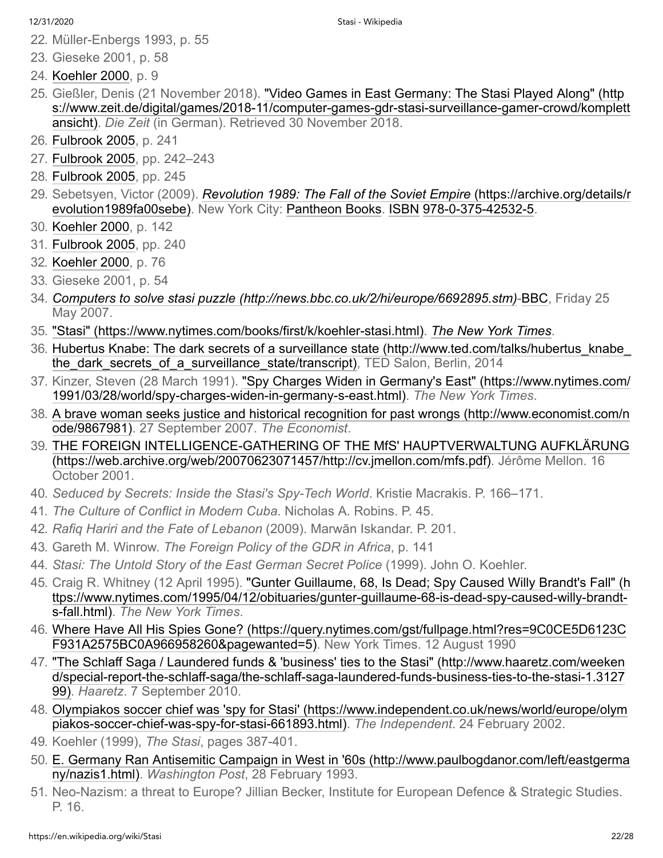<span id="page-21-0"></span>22. Müller-Enbergs 1993, p. 55

- <span id="page-21-2"></span><span id="page-21-1"></span>24. [Koehler 2000,](#page-27-1) p. 9
- <span id="page-21-3"></span>25. Gießler, Denis (21 November 2018). "Video Games in East Germany: The Stasi Played Along" (http [s://www.zeit.de/digital/games/2018-11/computer-games-gdr-stasi-surveillance-gamer-crowd/komplett](https://www.zeit.de/digital/games/2018-11/computer-games-gdr-stasi-surveillance-gamer-crowd/komplettansicht) ansicht). *Die Zeit* (in German). Retrieved 30 November 2018.
- <span id="page-21-4"></span>26. [Fulbrook 2005,](#page-26-13) p. 241
- <span id="page-21-5"></span>27. [Fulbrook 2005,](#page-26-13) pp. 242–243
- <span id="page-21-6"></span>28. [Fulbrook 2005,](#page-26-13) pp. 245
- <span id="page-21-7"></span>29. Sebetsyen, Victor (2009). *Revolution 1989: The Fall of the Soviet Empire* (https://archive.org/details/r [evolution1989fa00sebe\). New York City: Pantheon Books. ISBN](https://archive.org/details/revolution1989fa00sebe) [978-0-375-42532-5](https://en.wikipedia.org/wiki/Special:BookSources/978-0-375-42532-5).
- <span id="page-21-8"></span>30. [Koehler 2000,](#page-27-1) p. 142
- <span id="page-21-9"></span>31. [Fulbrook 2005,](#page-26-13) pp. 240
- <span id="page-21-10"></span>32. [Koehler 2000,](#page-27-1) p. 76
- <span id="page-21-11"></span>33. Gieseke 2001, p. 54
- <span id="page-21-12"></span>34. *[Computers to solve stasi puzzle \(http://news.bbc.co.uk/2/hi/europe/6692895.stm\)](http://news.bbc.co.uk/2/hi/europe/6692895.stm)*-[BBC,](https://en.wikipedia.org/wiki/BBC) Friday 25 May 2007.
- <span id="page-21-13"></span>35. ["Stasi" \(https://www.nytimes.com/books/first/k/koehler-stasi.html\)](https://www.nytimes.com/books/first/k/koehler-stasi.html). *[The New York Times](https://en.wikipedia.org/wiki/The_New_York_Times)*.
- <span id="page-21-14"></span>36. [Hubertus Knabe: The dark secrets of a surveillance state \(http://www.ted.com/talks/hubertus\\_knabe\\_](http://www.ted.com/talks/hubertus_knabe_the_dark_secrets_of_a_surveillance_state/transcript) the dark secrets of a surveillance state/transcript), TED Salon, Berlin, 2014
- <span id="page-21-15"></span>37. [Kinzer, Steven \(28 March 1991\). "Spy Charges Widen in Germany's East" \(https://www.nytimes.com/](https://www.nytimes.com/1991/03/28/world/spy-charges-widen-in-germany-s-east.html) 1991/03/28/world/spy-charges-widen-in-germany-s-east.html). *The New York Times*.
- <span id="page-21-16"></span>38. [A brave woman seeks justice and historical recognition for past wrongs \(http://www.economist.com/n](http://www.economist.com/node/9867981) ode/9867981). 27 September 2007. *The Economist*.
- <span id="page-21-17"></span>39. [THE FOREIGN INTELLIGENCE-GATHERING OF THE MfS' HAUPTVERWALTUNG AUFKLÄRUNG](https://web.archive.org/web/20070623071457/http://cv.jmellon.com/mfs.pdf) (https://web.archive.org/web/20070623071457/http://cv.jmellon.com/mfs.pdf). Jérôme Mellon. 16 October 2001.
- <span id="page-21-18"></span>40. *Seduced by Secrets: Inside the Stasi's Spy-Tech World*. Kristie Macrakis. P. 166–171.
- <span id="page-21-19"></span>41. *The Culture of Conflict in Modern Cuba*. Nicholas A. Robins. P. 45.
- <span id="page-21-20"></span>42. *Rafiq Hariri and the Fate of Lebanon* (2009). Marwān Iskandar. P. 201.
- <span id="page-21-21"></span>43. Gareth M. Winrow. *The Foreign Policy of the GDR in Africa*, p. 141
- <span id="page-21-22"></span>44. *Stasi: The Untold Story of the East German Secret Police* (1999). John O. Koehler.
- <span id="page-21-23"></span>45. [Craig R. Whitney \(12 April 1995\). "Gunter Guillaume, 68, Is Dead; Spy Caused Willy Brandt's Fall" \(h](https://www.nytimes.com/1995/04/12/obituaries/gunter-guillaume-68-is-dead-spy-caused-willy-brandt-s-fall.html) ttps://www.nytimes.com/1995/04/12/obituaries/gunter-guillaume-68-is-dead-spy-caused-willy-brandts-fall.html). *The New York Times*.
- <span id="page-21-24"></span>46. [Where Have All His Spies Gone? \(https://query.nytimes.com/gst/fullpage.html?res=9C0CE5D6123C](https://query.nytimes.com/gst/fullpage.html?res=9C0CE5D6123CF931A2575BC0A966958260&pagewanted=5) F931A2575BC0A966958260&pagewanted=5). New York Times. 12 August 1990
- <span id="page-21-25"></span>47. ["The Schlaff Saga / Laundered funds & 'business' ties to the Stasi" \(http://www.haaretz.com/weeken](http://www.haaretz.com/weekend/special-report-the-schlaff-saga/the-schlaff-saga-laundered-funds-business-ties-to-the-stasi-1.312799) d/special-report-the-schlaff-saga/the-schlaff-saga-laundered-funds-business-ties-to-the-stasi-1.3127 99). *Haaretz*. 7 September 2010.
- <span id="page-21-26"></span>48. [Olympiakos soccer chief was 'spy for Stasi' \(https://www.independent.co.uk/news/world/europe/olym](https://www.independent.co.uk/news/world/europe/olympiakos-soccer-chief-was-spy-for-stasi-661893.html) piakos-soccer-chief-was-spy-for-stasi-661893.html). *The Independent*. 24 February 2002.
- <span id="page-21-27"></span>49. Koehler (1999), *The Stasi*, pages 387-401.
- <span id="page-21-28"></span>50. [E. Germany Ran Antisemitic Campaign in West in '60s \(http://www.paulbogdanor.com/left/eastgerma](http://www.paulbogdanor.com/left/eastgermany/nazis1.html) ny/nazis1.html). *Washington Post*, 28 February 1993.
- <span id="page-21-29"></span>51. Neo-Nazism: a threat to Europe? Jillian Becker, Institute for European Defence & Strategic Studies. P. 16.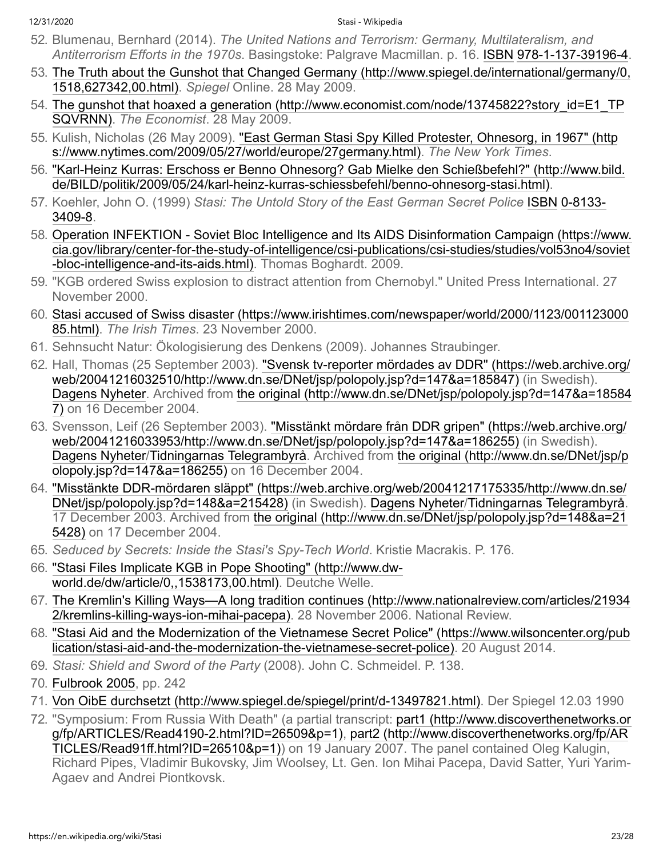- <span id="page-22-0"></span>52. Blumenau, Bernhard (2014). *The United Nations and Terrorism: Germany, Multilateralism, and Antiterrorism Efforts in the 1970s*. Basingstoke: Palgrave Macmillan. p. 16. [ISBN](https://en.wikipedia.org/wiki/ISBN_(identifier)) [978-1-137-39196-4](https://en.wikipedia.org/wiki/Special:BookSources/978-1-137-39196-4).
- <span id="page-22-1"></span>53. [The Truth about the Gunshot that Changed Germany \(http://www.spiegel.de/international/germany/0,](http://www.spiegel.de/international/germany/0,1518,627342,00.html) 1518,627342,00.html). *Spiegel* Online. 28 May 2009.
- <span id="page-22-2"></span>54. [The gunshot that hoaxed a generation \(http://www.economist.com/node/13745822?story\\_id=E1\\_TP](http://www.economist.com/node/13745822?story_id=E1_TPSQVRNN) SQVRNN). *The Economist*. 28 May 2009.
- <span id="page-22-3"></span>55. [Kulish, Nicholas \(26 May 2009\). "East German Stasi Spy Killed Protester, Ohnesorg, in 1967" \(http](https://www.nytimes.com/2009/05/27/world/europe/27germany.html) s://www.nytimes.com/2009/05/27/world/europe/27germany.html). *The New York Times*.
- <span id="page-22-4"></span>56. ["Karl-Heinz Kurras: Erschoss er Benno Ohnesorg? Gab Mielke den Schießbefehl?" \(http://www.bild.](http://www.bild.de/BILD/politik/2009/05/24/karl-heinz-kurras-schiessbefehl/benno-ohnesorg-stasi.html) de/BILD/politik/2009/05/24/karl-heinz-kurras-schiessbefehl/benno-ohnesorg-stasi.html).
- <span id="page-22-5"></span>57. Koehler, John O. (1999) *[Stasi: The Untold Story of the East German Secret Police](https://en.wikipedia.org/wiki/Special:BookSources/0-8133-3409-8)* [ISBN](https://en.wikipedia.org/wiki/ISBN_(identifier)) 0-8133- 3409-8.
- <span id="page-22-6"></span>58. [Operation INFEKTION - Soviet Bloc Intelligence and Its AIDS Disinformation Campaign \(https://www.](https://www.cia.gov/library/center-for-the-study-of-intelligence/csi-publications/csi-studies/studies/vol53no4/soviet-bloc-intelligence-and-its-aids.html) cia.gov/library/center-for-the-study-of-intelligence/csi-publications/csi-studies/studies/vol53no4/soviet -bloc-intelligence-and-its-aids.html). Thomas Boghardt. 2009.
- <span id="page-22-7"></span>59. "KGB ordered Swiss explosion to distract attention from Chernobyl." United Press International. 27 November 2000.
- <span id="page-22-8"></span>60. [Stasi accused of Swiss disaster \(https://www.irishtimes.com/newspaper/world/2000/1123/001123000](https://www.irishtimes.com/newspaper/world/2000/1123/00112300085.html) 85.html). *The Irish Times*. 23 November 2000.
- <span id="page-22-9"></span>61. Sehnsucht Natur: Ökologisierung des Denkens (2009). Johannes Straubinger.
- <span id="page-22-10"></span>62. [Hall, Thomas \(25 September 2003\). "Svensk tv-reporter mördades av DDR" \(https://web.archive.org/](https://web.archive.org/web/20041216032510/http://www.dn.se/DNet/jsp/polopoly.jsp?d=147&a=185847) web/20041216032510/http://www.dn.se/DNet/jsp/polopoly.jsp?d=147&a=185847) (in Swedish). [Dagens Nyheter](https://en.wikipedia.org/wiki/Dagens_Nyheter)[. Archived from the original \(http://www.dn.se/DNet/jsp/polopoly.jsp?d=147&a=18584](http://www.dn.se/DNet/jsp/polopoly.jsp?d=147&a=185847) 7) on 16 December 2004.
- <span id="page-22-11"></span>63. [Svensson, Leif \(26 September 2003\). "Misstänkt mördare från DDR gripen" \(https://web.archive.org/](https://web.archive.org/web/20041216033953/http://www.dn.se/DNet/jsp/polopoly.jsp?d=147&a=186255) web/20041216033953/http://www.dn.se/DNet/jsp/polopoly.jsp?d=147&a=186255) (in Swedish). [Dagens Nyheter](https://en.wikipedia.org/wiki/Dagens_Nyheter)[/](http://www.dn.se/DNet/jsp/polopoly.jsp?d=147&a=186255)[Tidningarnas Telegrambyr](https://en.wikipedia.org/wiki/Tidningarnas_Telegrambyr%C3%A5)[å. Archived from the original \(http://www.dn.se/DNet/jsp/p](http://www.dn.se/DNet/jsp/polopoly.jsp?d=147&a=186255) olopoly.jsp?d=147&a=186255) on 16 December 2004.
- <span id="page-22-12"></span>64. ["Misstänkte DDR-mördaren släppt" \(https://web.archive.org/web/20041217175335/http://www.dn.se/](https://web.archive.org/web/20041217175335/http://www.dn.se/DNet/jsp/polopoly.jsp?d=148&a=215428) DNet/jsp/polopoly.jsp?d=148&a=215428) (in Swedish). [Dagens Nyheter](https://en.wikipedia.org/wiki/Dagens_Nyheter)[/Tidningarnas Telegrambyrå](https://en.wikipedia.org/wiki/Tidningarnas_Telegrambyr%C3%A5). [17 December 2003. Archived from the original \(http://www.dn.se/DNet/jsp/polopoly.jsp?d=148&a=21](http://www.dn.se/DNet/jsp/polopoly.jsp?d=148&a=215428) 5428) on 17 December 2004.
- <span id="page-22-13"></span>65. *Seduced by Secrets: Inside the Stasi's Spy-Tech World*. Kristie Macrakis. P. 176.
- <span id="page-22-14"></span>66. ["Stasi Files Implicate KGB in Pope Shooting" \(http://www.dw](http://www.dw-world.de/dw/article/0,,1538173,00.html)world.de/dw/article/0,,1538173,00.html). Deutche Welle.
- <span id="page-22-15"></span>67. [The Kremlin's Killing Ways—A long tradition continues \(http://www.nationalreview.com/articles/21934](http://www.nationalreview.com/articles/219342/kremlins-killing-ways-ion-mihai-pacepa) 2/kremlins-killing-ways-ion-mihai-pacepa). 28 November 2006. National Review.
- <span id="page-22-16"></span>68. ["Stasi Aid and the Modernization of the Vietnamese Secret Police" \(https://www.wilsoncenter.org/pub](https://www.wilsoncenter.org/publication/stasi-aid-and-the-modernization-the-vietnamese-secret-police) lication/stasi-aid-and-the-modernization-the-vietnamese-secret-police). 20 August 2014.
- <span id="page-22-17"></span>69. *Stasi: Shield and Sword of the Party* (2008). John C. Schmeidel. P. 138.
- <span id="page-22-18"></span>70. [Fulbrook 2005,](#page-26-13) pp. 242
- <span id="page-22-19"></span>71. [Von OibE durchsetzt \(http://www.spiegel.de/spiegel/print/d-13497821.html\).](http://www.spiegel.de/spiegel/print/d-13497821.html) Der Spiegel 12.03 1990
- <span id="page-22-20"></span>72. ["Symposium: From Russia With Death" \(a partial transcript: part1 \(http://www.discoverthenetworks.or](http://www.discoverthenetworks.org/fp/ARTICLES/Read4190-2.html?ID=26509&p=1) [g/fp/ARTICLES/Read4190-2.html?ID=26509&p=1\), part2 \(http://www.discoverthenetworks.org/fp/AR](http://www.discoverthenetworks.org/fp/ARTICLES/Read91ff.html?ID=26510&p=1) TICLES/Read91ff.html?ID=26510&p=1)) on 19 January 2007. The panel contained Oleg Kalugin, Richard Pipes, Vladimir Bukovsky, Jim Woolsey, Lt. Gen. Ion Mihai Pacepa, David Satter, Yuri Yarim-Agaev and Andrei Piontkovsk.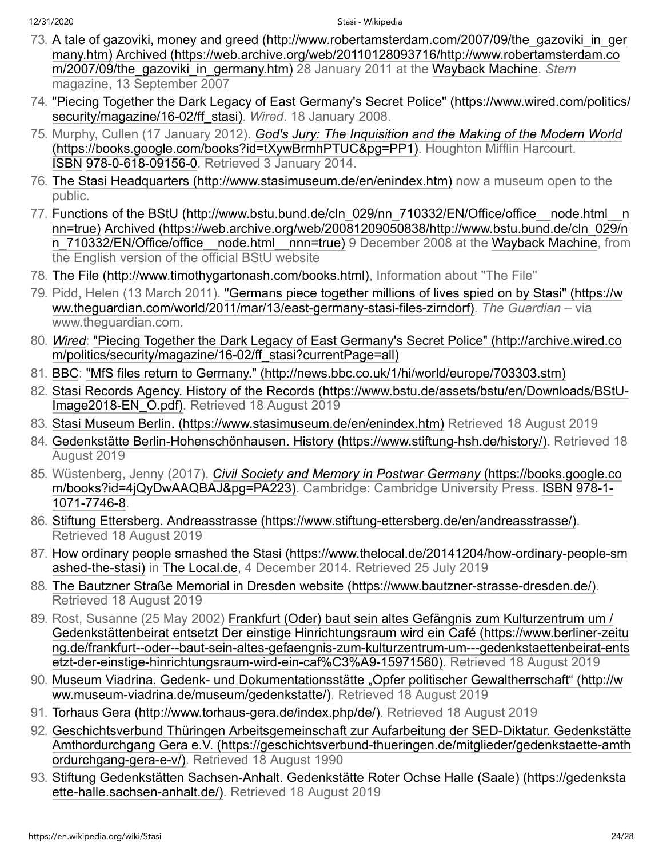- <span id="page-23-0"></span>73. [A tale of gazoviki, money and greed \(http://www.robertamsterdam.com/2007/09/the\\_gazoviki\\_in\\_ger](http://www.robertamsterdam.com/2007/09/the_gazoviki_in_germany.htm) many.htm) [Archived \(https://web.archive.org/web/20110128093716/http://www.robertamsterdam.co](https://web.archive.org/web/20110128093716/http://www.robertamsterdam.com/2007/09/the_gazoviki_in_germany.htm) m/2007/09/the\_gazoviki\_in\_germany.htm) 28 January 2011 at the [Wayback Machine.](https://en.wikipedia.org/wiki/Wayback_Machine) *Stern* magazine, 13 September 2007
- <span id="page-23-1"></span>74. ["Piecing Together the Dark Legacy of East Germany's Secret Police" \(https://www.wired.com/politics/](https://www.wired.com/politics/security/magazine/16-02/ff_stasi) security/magazine/16-02/ff\_stasi). *Wired*. 18 January 2008.
- <span id="page-23-2"></span>75. Murphy, Cullen (17 January 2012). *God's Jury: The Inquisition and the Making of the Modern World* [\(https://books.google.com/books?id=tXywBrmhPTUC&pg=PP1\). Houghton Mifflin Harcourt.](https://books.google.com/books?id=tXywBrmhPTUC&pg=PP1) [ISBN](https://en.wikipedia.org/wiki/ISBN_(identifier)) [978-0-618-09156-0](https://en.wikipedia.org/wiki/Special:BookSources/978-0-618-09156-0). Retrieved 3 January 2014.
- <span id="page-23-3"></span>76. [The Stasi Headquarters \(http://www.stasimuseum.de/en/enindex.htm\)](http://www.stasimuseum.de/en/enindex.htm) now a museum open to the public.
- <span id="page-23-4"></span>77. [Functions of the BStU \(http://www.bstu.bund.de/cln\\_029/nn\\_710332/EN/Office/office\\_\\_node.html\\_\\_n](http://www.bstu.bund.de/cln_029/nn_710332/EN/Office/office__node.html__nnn=true) nn=true) Archived (https://web.archive.org/web/20081209050838/http://www.bstu.bund.de/cln\_029/n [n\\_710332/EN/Office/office\\_\\_node.html\\_\\_nnn=true\) 9 December 2008 at the Wayback Machine, from](https://web.archive.org/web/20081209050838/http://www.bstu.bund.de/cln_029/nn_710332/EN/Office/office__node.html__nnn=true) the English version of the official BStU website
- <span id="page-23-5"></span>78. [The File \(http://www.timothygartonash.com/books.html\),](http://www.timothygartonash.com/books.html) Information about "The File"
- <span id="page-23-6"></span>79. [Pidd, Helen \(13 March 2011\). "Germans piece together millions of lives spied on by Stasi" \(https://w](https://www.theguardian.com/world/2011/mar/13/east-germany-stasi-files-zirndorf) ww.theguardian.com/world/2011/mar/13/east-germany-stasi-files-zirndorf). *The Guardian* – via www.theguardian.com.
- <span id="page-23-7"></span>80. *[Wired](https://en.wikipedia.org/wiki/Wired_(magazine))*[: "Piecing Together the Dark Legacy of East Germany's Secret Police" \(http://archive.wired.co](http://archive.wired.com/politics/security/magazine/16-02/ff_stasi?currentPage=all) m/politics/security/magazine/16-02/ff\_stasi?currentPage=all)
- <span id="page-23-8"></span>81. [BBC](https://en.wikipedia.org/wiki/BBC): ["MfS files return to Germany." \(http://news.bbc.co.uk/1/hi/world/europe/703303.stm\)](http://news.bbc.co.uk/1/hi/world/europe/703303.stm)
- <span id="page-23-9"></span>82. [Stasi Records Agency. History of the Records \(https://www.bstu.de/assets/bstu/en/Downloads/BStU-](https://www.bstu.de/assets/bstu/en/Downloads/BStU-Image2018-EN_O.pdf)Image2018-EN\_O.pdf). Retrieved 18 August 2019
- <span id="page-23-10"></span>83. [Stasi Museum Berlin. \(https://www.stasimuseum.de/en/enindex.htm\)](https://www.stasimuseum.de/en/enindex.htm) Retrieved 18 August 2019
- <span id="page-23-11"></span>84. [Gedenkstätte Berlin-Hohenschönhausen. History \(https://www.stiftung-hsh.de/history/\)](https://www.stiftung-hsh.de/history/). Retrieved 18 August 2019
- <span id="page-23-12"></span>85. Wüstenberg, Jenny (2017). *Civil Society and Memory in Postwar Germany* (https://books.google.co [m/books?id=4jQyDwAAQBAJ&pg=PA223\). Cambridge: Cambridge University Press. ISBN](https://books.google.com/books?id=4jQyDwAAQBAJ&pg=PA223) 978-1- 1071-7746-8.
- <span id="page-23-13"></span>86. [Stiftung Ettersberg. Andreasstrasse \(https://www.stiftung-ettersberg.de/en/andreasstrasse/\)](https://www.stiftung-ettersberg.de/en/andreasstrasse/). Retrieved 18 August 2019
- <span id="page-23-14"></span>87. [How ordinary people smashed the Stasi \(https://www.thelocal.de/20141204/how-ordinary-people-sm](https://www.thelocal.de/20141204/how-ordinary-people-smashed-the-stasi) ashed-the-stasi) in [The Local.de](https://en.wikipedia.org/wiki/The_Local), 4 December 2014. Retrieved 25 July 2019
- <span id="page-23-15"></span>88. [The Bautzner Straße Memorial in Dresden website \(https://www.bautzner-strasse-dresden.de/\)](https://www.bautzner-strasse-dresden.de/). Retrieved 18 August 2019
- <span id="page-23-16"></span>89. Rost, Susanne (25 May 2002) Frankfurt (Oder) baut sein altes Gefängnis zum Kulturzentrum um / Gedenkstättenbeirat entsetzt Der einstige Hinrichtungsraum wird ein Café (https://www.berliner-zeitu [ng.de/frankfurt--oder--baut-sein-altes-gefaengnis-zum-kulturzentrum-um---gedenkstaettenbeirat-ents](https://www.berliner-zeitung.de/frankfurt--oder--baut-sein-altes-gefaengnis-zum-kulturzentrum-um---gedenkstaettenbeirat-entsetzt-der-einstige-hinrichtungsraum-wird-ein-caf%C3%A9-15971560) etzt-der-einstige-hinrichtungsraum-wird-ein-caf%C3%A9-15971560). Retrieved 18 August 2019
- <span id="page-23-17"></span>90. [Museum Viadrina. Gedenk- und Dokumentationsstätte "Opfer politischer Gewaltherrschaft" \(http://w](http://www.museum-viadrina.de/museum/gedenkstatte/) ww.museum-viadrina.de/museum/gedenkstatte/). Retrieved 18 August 2019
- <span id="page-23-18"></span>91. [Torhaus Gera \(http://www.torhaus-gera.de/index.php/de/\)](http://www.torhaus-gera.de/index.php/de/). Retrieved 18 August 2019
- <span id="page-23-19"></span>92. [Geschichtsverbund Thüringen Arbeitsgemeinschaft zur Aufarbeitung der SED-Diktatur. Gedenkstätte](https://geschichtsverbund-thueringen.de/mitglieder/gedenkstaette-amthordurchgang-gera-e-v/) Amthordurchgang Gera e.V. (https://geschichtsverbund-thueringen.de/mitglieder/gedenkstaette-amth ordurchgang-gera-e-v/). Retrieved 18 August 1990
- <span id="page-23-20"></span>93. [Stiftung Gedenkstätten Sachsen-Anhalt. Gedenkstätte Roter Ochse Halle \(Saale\) \(https://gedenksta](https://gedenkstaette-halle.sachsen-anhalt.de/) ette-halle.sachsen-anhalt.de/). Retrieved 18 August 2019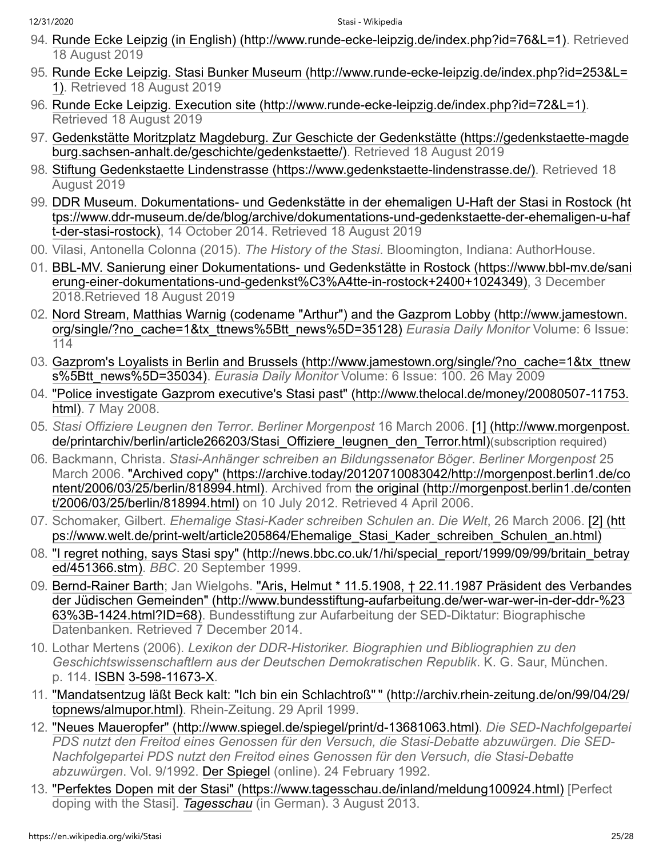- <span id="page-24-0"></span>94. [Runde Ecke Leipzig \(in English\) \(http://www.runde-ecke-leipzig.de/index.php?id=76&L=1\)](http://www.runde-ecke-leipzig.de/index.php?id=76&L=1). Retrieved 18 August 2019
- <span id="page-24-1"></span>95. [Runde Ecke Leipzig. Stasi Bunker Museum \(http://www.runde-ecke-leipzig.de/index.php?id=253&L=](http://www.runde-ecke-leipzig.de/index.php?id=253&L=1) 1). Retrieved 18 August 2019
- <span id="page-24-2"></span>96. [Runde Ecke Leipzig. Execution site \(http://www.runde-ecke-leipzig.de/index.php?id=72&L=1\)](http://www.runde-ecke-leipzig.de/index.php?id=72&L=1). Retrieved 18 August 2019
- <span id="page-24-3"></span>97. [Gedenkstätte Moritzplatz Magdeburg. Zur Geschicte der Gedenkstätte \(https://gedenkstaette-magde](https://gedenkstaette-magdeburg.sachsen-anhalt.de/geschichte/gedenkstaette/) burg.sachsen-anhalt.de/geschichte/gedenkstaette/). Retrieved 18 August 2019
- <span id="page-24-4"></span>98. [Stiftung Gedenkstaette Lindenstrasse \(https://www.gedenkstaette-lindenstrasse.de/\).](https://www.gedenkstaette-lindenstrasse.de/) Retrieved 18 August 2019
- <span id="page-24-5"></span>99. [DDR Museum. Dokumentations- und Gedenkstätte in der ehemaligen U-Haft der Stasi in Rostock \(ht](https://www.ddr-museum.de/de/blog/archive/dokumentations-und-gedenkstaette-der-ehemaligen-u-haft-der-stasi-rostock) tps://www.ddr-museum.de/de/blog/archive/dokumentations-und-gedenkstaette-der-ehemaligen-u-haf t-der-stasi-rostock), 14 October 2014. Retrieved 18 August 2019
- <span id="page-24-6"></span>00. Vilasi, Antonella Colonna (2015). *The History of the Stasi*. Bloomington, Indiana: AuthorHouse.
- <span id="page-24-7"></span>01. [BBL-MV. Sanierung einer Dokumentations- und Gedenkstätte in Rostock \(https://www.bbl-mv.de/sani](https://www.bbl-mv.de/sanierung-einer-dokumentations-und-gedenkst%C3%A4tte-in-rostock+2400+1024349) erung-einer-dokumentations-und-gedenkst%C3%A4tte-in-rostock+2400+1024349), 3 December 2018.Retrieved 18 August 2019
- <span id="page-24-8"></span>02. [Nord Stream, Matthias Warnig \(codename "Arthur"\) and the Gazprom Lobby \(http://www.jamestown.](http://www.jamestown.org/single/?no_cache=1&tx_ttnews%5Btt_news%5D=35128) org/single/?no\_cache=1&tx\_ttnews%5Btt\_news%5D=35128) *Eurasia Daily Monitor* Volume: 6 Issue: 114
- <span id="page-24-9"></span>03. [Gazprom's Loyalists in Berlin and Brussels \(http://www.jamestown.org/single/?no\\_cache=1&tx\\_ttnew](http://www.jamestown.org/single/?no_cache=1&tx_ttnews%5Btt_news%5D=35034) s%5Btt\_news%5D=35034). *Eurasia Daily Monitor* Volume: 6 Issue: 100. 26 May 2009
- <span id="page-24-10"></span>04. ["Police investigate Gazprom executive's Stasi past" \(http://www.thelocal.de/money/20080507-11753.](http://www.thelocal.de/money/20080507-11753.html) html). 7 May 2008.
- <span id="page-24-11"></span>05. *Stasi Offiziere Leugnen den Terror*. *Berliner Morgenpost* 16 March 2006. [1] (http://www.morgenpost. de/printarchiv/berlin/article266203/Stasi Offiziere leugnen den Terror.html)(subscription required)
- <span id="page-24-12"></span>06. Backmann, Christa. *Stasi-Anhänger schreiben an Bildungssenator Böger*. *Berliner Morgenpost* 25 [March 2006. "Archived copy" \(https://archive.today/20120710083042/http://morgenpost.berlin1.de/co](https://archive.today/20120710083042/http://morgenpost.berlin1.de/content/2006/03/25/berlin/818994.html) [ntent/2006/03/25/berlin/818994.html\). Archived from the original \(http://morgenpost.berlin1.de/conten](http://morgenpost.berlin1.de/content/2006/03/25/berlin/818994.html) t/2006/03/25/berlin/818994.html) on 10 July 2012. Retrieved 4 April 2006.
- <span id="page-24-13"></span>07. Schomaker, Gilbert. *Ehemalige Stasi-Kader schreiben Schulen an*. *Die Welt*, 26 March 2006. [2] (htt [ps://www.welt.de/print-welt/article205864/Ehemalige\\_Stasi\\_Kader\\_schreiben\\_Schulen\\_an.html\)](https://www.welt.de/print-welt/article205864/Ehemalige_Stasi_Kader_schreiben_Schulen_an.html)
- <span id="page-24-14"></span>08. ["I regret nothing, says Stasi spy" \(http://news.bbc.co.uk/1/hi/special\\_report/1999/09/99/britain\\_betray](http://news.bbc.co.uk/1/hi/special_report/1999/09/99/britain_betrayed/451366.stm) ed/451366.stm). *BBC*. 20 September 1999.
- <span id="page-24-15"></span>09. [Bernd-Rainer Bart](https://en.wikipedia.org/wiki/Bernd-Rainer_Barth)[h; Jan Wielgohs. "Aris, Helmut \\* 11.5.1908, † 22.11.1987 Präsident des Verbandes](http://www.bundesstiftung-aufarbeitung.de/wer-war-wer-in-der-ddr-%2363%3B-1424.html?ID=68) der Jüdischen Gemeinden" (http://www.bundesstiftung-aufarbeitung.de/wer-war-wer-in-der-ddr-%23 63%3B-1424.html?ID=68). Bundesstiftung zur Aufarbeitung der SED-Diktatur: Biographische Datenbanken. Retrieved 7 December 2014.
- <span id="page-24-16"></span>10. Lothar Mertens (2006). *Lexikon der DDR-Historiker. Biographien und Bibliographien zu den Geschichtswissenschaftlern aus der Deutschen Demokratischen Republik*. K. G. Saur, München. p. 114. [ISBN](https://en.wikipedia.org/wiki/ISBN_(identifier)) [3-598-11673-X.](https://en.wikipedia.org/wiki/Special:BookSources/3-598-11673-X)
- <span id="page-24-17"></span>11. ["Mandatsentzug läßt Beck kalt: "Ich bin ein Schlachtroß"](http://archiv.rhein-zeitung.de/on/99/04/29/topnews/almupor.html) " (http://archiv.rhein-zeitung.de/on/99/04/29/ topnews/almupor.html). Rhein-Zeitung. 29 April 1999.
- <span id="page-24-18"></span>12. ["Neues Maueropfer" \(http://www.spiegel.de/spiegel/print/d-13681063.html\)](http://www.spiegel.de/spiegel/print/d-13681063.html). *Die SED-Nachfolgepartei PDS nutzt den Freitod eines Genossen für den Versuch, die Stasi-Debatte abzuwürgen. Die SED-Nachfolgepartei PDS nutzt den Freitod eines Genossen für den Versuch, die Stasi-Debatte abzuwürgen*. Vol. 9/1992. [Der Spiegel](https://en.wikipedia.org/wiki/Der_Spiegel) (online). 24 February 1992.
- <span id="page-24-19"></span>13. ["Perfektes Dopen mit der Stasi" \(https://www.tagesschau.de/inland/meldung100924.html\)](https://www.tagesschau.de/inland/meldung100924.html) [Perfect doping with the Stasi]. *[Tagesschau](https://en.wikipedia.org/wiki/Tagesschau_(German_TV_series))* (in German). 3 August 2013.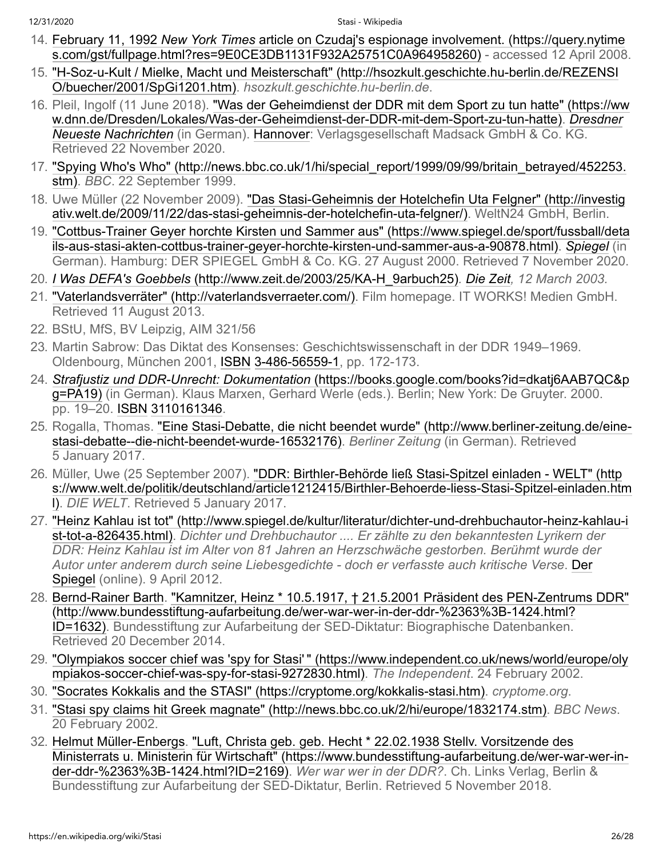- <span id="page-25-0"></span>14. February 11, 1992 *New York Times* article on Czudaj's espionage involvement. (https://query.nytime [s.com/gst/fullpage.html?res=9E0CE3DB1131F932A25751C0A964958260\) - accessed 12 April 2008](https://query.nytimes.com/gst/fullpage.html?res=9E0CE3DB1131F932A25751C0A964958260).
- <span id="page-25-1"></span>15. ["H-Soz-u-Kult / Mielke, Macht und Meisterschaft" \(http://hsozkult.geschichte.hu-berlin.de/REZENSI](http://hsozkult.geschichte.hu-berlin.de/REZENSIO/buecher/2001/SpGi1201.htm) O/buecher/2001/SpGi1201.htm). *hsozkult.geschichte.hu-berlin.de*.
- <span id="page-25-2"></span>16. [Pleil, Ingolf \(11 June 2018\). "Was der Geheimdienst der DDR mit dem Sport zu tun hatte" \(https://ww](https://www.dnn.de/Dresden/Lokales/Was-der-Geheimdienst-der-DDR-mit-dem-Sport-zu-tun-hatte) [w.dnn.de/Dresden/Lokales/Was-der-Geheimdienst-der-DDR-mit-dem-Sport-zu-tun-hatte\).](https://en.wikipedia.org/wiki/Dresdner_Neueste_Nachrichten) *Dresdner Neueste Nachrichten* (in German). [Hannover](https://en.wikipedia.org/wiki/Hannover): Verlagsgesellschaft Madsack GmbH & Co. KG. Retrieved 22 November 2020.
- <span id="page-25-3"></span>17. ["Spying Who's Who" \(http://news.bbc.co.uk/1/hi/special\\_report/1999/09/99/britain\\_betrayed/452253.](http://news.bbc.co.uk/1/hi/special_report/1999/09/99/britain_betrayed/452253.stm) stm). *BBC*. 22 September 1999.
- <span id="page-25-4"></span>18. [Uwe Müller \(22 November 2009\). "Das Stasi-Geheimnis der Hotelchefin Uta Felgner" \(http://investig](http://investigativ.welt.de/2009/11/22/das-stasi-geheimnis-der-hotelchefin-uta-felgner/) ativ.welt.de/2009/11/22/das-stasi-geheimnis-der-hotelchefin-uta-felgner/). WeltN24 GmbH, Berlin.
- <span id="page-25-5"></span>19. ["Cottbus-Trainer Geyer horchte Kirsten und Sammer aus" \(https://www.spiegel.de/sport/fussball/deta](https://www.spiegel.de/sport/fussball/details-aus-stasi-akten-cottbus-trainer-geyer-horchte-kirsten-und-sammer-aus-a-90878.html) ils-aus-stasi-akten-cottbus-trainer-geyer-horchte-kirsten-und-sammer-aus-a-90878.html). *[Spiegel](https://en.wikipedia.org/wiki/Der_Spiegel_(news_website))* (in German). Hamburg: DER SPIEGEL GmbH & Co. KG. 27 August 2000. Retrieved 7 November 2020.
- <span id="page-25-6"></span>20. *I Was DEFA's Goebbels* [\(http://www.zeit.de/2003/25/KA-H\\_9arbuch25\)](http://www.zeit.de/2003/25/KA-H_9arbuch25)*. [Die Zeit,](https://en.wikipedia.org/wiki/Die_Zeit) 12 March 2003.*
- <span id="page-25-7"></span>21. ["Vaterlandsverräter" \(http://vaterlandsverraeter.com/\).](http://vaterlandsverraeter.com/) Film homepage. IT WORKS! Medien GmbH. Retrieved 11 August 2013.
- <span id="page-25-8"></span>22. BStU, MfS, BV Leipzig, AIM 321/56
- <span id="page-25-9"></span>23. Martin Sabrow: Das Diktat des Konsenses: Geschichtswissenschaft in der DDR 1949–1969. Oldenbourg, München 2001, [ISBN](https://en.wikipedia.org/wiki/ISBN_(identifier)) [3-486-56559-1,](https://en.wikipedia.org/wiki/Special:BookSources/3-486-56559-1) pp. 172-173.
- <span id="page-25-10"></span>24. *Strafjustiz und DDR-Unrecht: Dokumentation* (https://books.google.com/books?id=dkatj6AAB7QC&p [g=PA19\) \(in German\). Klaus Marxen, Gerhard Werle \(eds.\). Berlin; New York: De Gruyter. 2000.](https://books.google.com/books?id=dkatj6AAB7QC&pg=PA19) pp. 19–20. [ISBN](https://en.wikipedia.org/wiki/ISBN_(identifier)) [3110161346](https://en.wikipedia.org/wiki/Special:BookSources/3110161346).
- <span id="page-25-11"></span>25. [Rogalla, Thomas. "Eine Stasi-Debatte, die nicht beendet wurde" \(http://www.berliner-zeitung.de/eine](http://www.berliner-zeitung.de/eine-stasi-debatte--die-nicht-beendet-wurde-16532176)stasi-debatte--die-nicht-beendet-wurde-16532176). *Berliner Zeitung* (in German). Retrieved 5 January 2017.
- <span id="page-25-12"></span>26. Müller, Uwe (25 September 2007). "DDR: Birthler-Behörde ließ Stasi-Spitzel einladen - WELT" (http [s://www.welt.de/politik/deutschland/article1212415/Birthler-Behoerde-liess-Stasi-Spitzel-einladen.htm](https://www.welt.de/politik/deutschland/article1212415/Birthler-Behoerde-liess-Stasi-Spitzel-einladen.html) l). *DIE WELT*. Retrieved 5 January 2017.
- <span id="page-25-13"></span>27. ["Heinz Kahlau ist tot" \(http://www.spiegel.de/kultur/literatur/dichter-und-drehbuchautor-heinz-kahlau-i](http://www.spiegel.de/kultur/literatur/dichter-und-drehbuchautor-heinz-kahlau-ist-tot-a-826435.html) st-tot-a-826435.html). *Dichter und Drehbuchautor .... Er zählte zu den bekanntesten Lyrikern der DDR: Heinz Kahlau ist im Alter von 81 Jahren an Herzschwäche gestorben. Berühmt wurde der [Autor unter anderem durch seine Liebesgedichte - doch er verfasste auch kritische Verse](https://en.wikipedia.org/wiki/Der_Spiegel)*. Der Spiegel (online). 9 April 2012.
- <span id="page-25-14"></span>28. [Bernd-Rainer Bart](https://en.wikipedia.org/wiki/Bernd-Rainer_Barth)[h. "Kamnitzer, Heinz \\* 10.5.1917, † 21.5.2001 Präsident des PEN-Zentrums DDR"](http://www.bundesstiftung-aufarbeitung.de/wer-war-wer-in-der-ddr-%2363%3B-1424.html?ID=1632) (http://www.bundesstiftung-aufarbeitung.de/wer-war-wer-in-der-ddr-%2363%3B-1424.html? ID=1632). Bundesstiftung zur Aufarbeitung der SED-Diktatur: Biographische Datenbanken. Retrieved 20 December 2014.
- <span id="page-25-15"></span>29. "Olympiakos soccer chief was 'spy for Stasi' [" \(https://www.independent.co.uk/news/world/europe/oly](https://www.independent.co.uk/news/world/europe/olympiakos-soccer-chief-was-spy-for-stasi-9272830.html) mpiakos-soccer-chief-was-spy-for-stasi-9272830.html). *The Independent*. 24 February 2002.
- <span id="page-25-16"></span>30. ["Socrates Kokkalis and the STASI" \(https://cryptome.org/kokkalis-stasi.htm\).](https://cryptome.org/kokkalis-stasi.htm) *cryptome.org*.
- <span id="page-25-17"></span>31. ["Stasi spy claims hit Greek magnate" \(http://news.bbc.co.uk/2/hi/europe/1832174.stm\).](http://news.bbc.co.uk/2/hi/europe/1832174.stm) *BBC News*. 20 February 2002.
- <span id="page-25-18"></span>32. [Helmut Müller-Enbergs.](https://en.wikipedia.org/wiki/Helmut_M%C3%BCller-Enbergs) "Luft, Christa geb. geb. Hecht \* 22.02.1938 Stellv. Vorsitzende des [Ministerrats u. Ministerin für Wirtschaft" \(https://www.bundesstiftung-aufarbeitung.de/wer-war-wer-in](https://www.bundesstiftung-aufarbeitung.de/wer-war-wer-in-der-ddr-%2363%3B-1424.html?ID=2169)der-ddr-%2363%3B-1424.html?ID=2169). *Wer war wer in der DDR?*. Ch. Links Verlag, Berlin & Bundesstiftung zur Aufarbeitung der SED-Diktatur, Berlin. Retrieved 5 November 2018.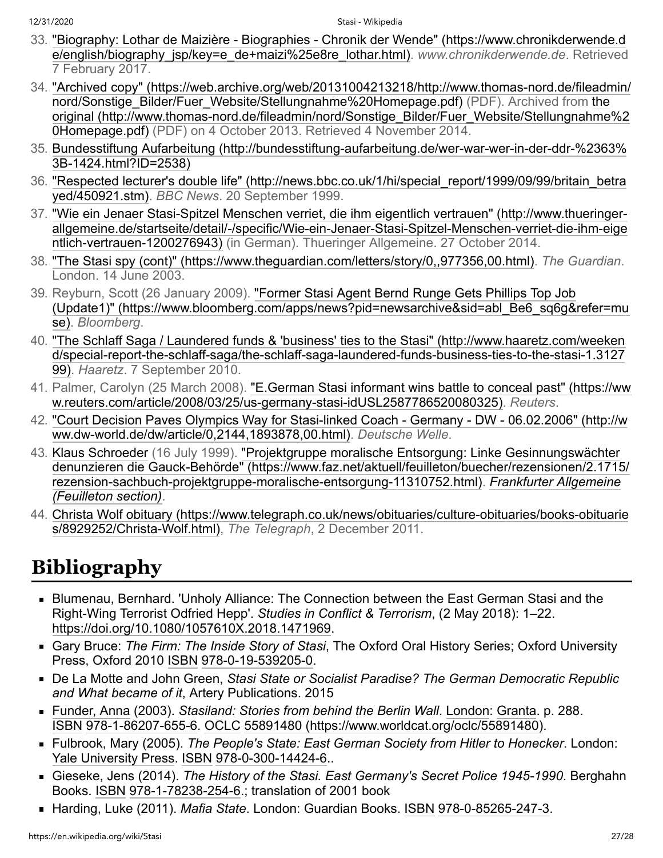- <span id="page-26-1"></span>33. ["Biography: Lothar de Maizière - Biographies - Chronik der Wende" \(https://www.chronikderwende.d](https://www.chronikderwende.de/english/biography_jsp/key=e_de+maizi%25e8re_lothar.html) e/english/biography\_jsp/key=e\_de+maizi%25e8re\_lothar.html). *www.chronikderwende.de*. Retrieved 7 February 2017.
- <span id="page-26-2"></span>34. ["Archived copy" \(https://web.archive.org/web/20131004213218/http://www.thomas-nord.de/fileadmin/](https://web.archive.org/web/20131004213218/http://www.thomas-nord.de/fileadmin/nord/Sonstige_Bilder/Fuer_Website/Stellungnahme%20Homepage.pdf) nord/Sonstige\_Bilder/Fuer\_Website/Stellungnahme%20Homepage.pdf) (PDF). Archived from the [original \(http://www.thomas-nord.de/fileadmin/nord/Sonstige\\_Bilder/Fuer\\_Website/Stellungnahme%2](http://www.thomas-nord.de/fileadmin/nord/Sonstige_Bilder/Fuer_Website/Stellungnahme%20Homepage.pdf) 0Homepage.pdf) (PDF) on 4 October 2013. Retrieved 4 November 2014.
- <span id="page-26-3"></span>35. [Bundesstiftung Aufarbeitung \(http://bundesstiftung-aufarbeitung.de/wer-war-wer-in-der-ddr-%2363%](http://bundesstiftung-aufarbeitung.de/wer-war-wer-in-der-ddr-%2363%3B-1424.html?ID=2538) 3B-1424.html?ID=2538)
- <span id="page-26-4"></span>36. ["Respected lecturer's double life" \(http://news.bbc.co.uk/1/hi/special\\_report/1999/09/99/britain\\_betra](http://news.bbc.co.uk/1/hi/special_report/1999/09/99/britain_betrayed/450921.stm) yed/450921.stm). *BBC News*. 20 September 1999.
- <span id="page-26-5"></span>37. ["Wie ein Jenaer Stasi-Spitzel Menschen verriet, die ihm eigentlich vertrauen" \(http://www.thueringer](http://www.thueringer-allgemeine.de/startseite/detail/-/specific/Wie-ein-Jenaer-Stasi-Spitzel-Menschen-verriet-die-ihm-eigentlich-vertrauen-1200276943)allgemeine.de/startseite/detail/-/specific/Wie-ein-Jenaer-Stasi-Spitzel-Menschen-verriet-die-ihm-eige ntlich-vertrauen-1200276943) (in German). Thueringer Allgemeine. 27 October 2014.
- <span id="page-26-6"></span>38. ["The Stasi spy \(cont\)" \(https://www.theguardian.com/letters/story/0,,977356,00.html\)](https://www.theguardian.com/letters/story/0,,977356,00.html). *The Guardian*. London. 14 June 2003.
- <span id="page-26-7"></span>39. Reyburn, Scott (26 January 2009). "Former Stasi Agent Bernd Runge Gets Phillips Top Job [\(Update1\)" \(https://www.bloomberg.com/apps/news?pid=newsarchive&sid=abl\\_Be6\\_sq6g&refer=mu](https://www.bloomberg.com/apps/news?pid=newsarchive&sid=abl_Be6_sq6g&refer=muse) se). *Bloomberg*.
- <span id="page-26-8"></span>40. ["The Schlaff Saga / Laundered funds & 'business' ties to the Stasi" \(http://www.haaretz.com/weeken](http://www.haaretz.com/weekend/special-report-the-schlaff-saga/the-schlaff-saga-laundered-funds-business-ties-to-the-stasi-1.312799) d/special-report-the-schlaff-saga/the-schlaff-saga-laundered-funds-business-ties-to-the-stasi-1.3127 99). *Haaretz*. 7 September 2010.
- <span id="page-26-9"></span>41. [Palmer, Carolyn \(25 March 2008\). "E.German Stasi informant wins battle to conceal past" \(https://ww](https://www.reuters.com/article/2008/03/25/us-germany-stasi-idUSL2587786520080325) w.reuters.com/article/2008/03/25/us-germany-stasi-idUSL2587786520080325). *Reuters*.
- <span id="page-26-10"></span>42. ["Court Decision Paves Olympics Way for Stasi-linked Coach - Germany - DW - 06.02.2006" \(http://w](http://www.dw-world.de/dw/article/0,2144,1893878,00.html) ww.dw-world.de/dw/article/0,2144,1893878,00.html). *Deutsche Welle*.
- <span id="page-26-11"></span>43. [Klaus Schroeder](https://en.wikipedia.org/wiki/Klaus_Schroeder) (16 July 1999). "Projektgruppe moralische Entsorgung: Linke Gesinnungswächter [denunzieren die Gauck-Behörde" \(https://www.faz.net/aktuell/feuilleton/buecher/rezensionen/2.1715/](https://www.faz.net/aktuell/feuilleton/buecher/rezensionen/2.1715/rezension-sachbuch-projektgruppe-moralische-entsorgung-11310752.html) [rezension-sachbuch-projektgruppe-moralische-entsorgung-11310752.html\).](https://en.wikipedia.org/wiki/Frankfurter_Allgemeine_Zeitung) *Frankfurter Allgemeine (Feuilleton section)*.
- <span id="page-26-12"></span>44. [Christa Wolf obituary \(https://www.telegraph.co.uk/news/obituaries/culture-obituaries/books-obituarie](https://www.telegraph.co.uk/news/obituaries/culture-obituaries/books-obituaries/8929252/Christa-Wolf.html) s/8929252/Christa-Wolf.html), *The Telegraph*, 2 December 2011.

# <span id="page-26-0"></span>**Bibliography**

- Blumenau, Bernhard. 'Unholy Alliance: The Connection between the East German Stasi and the Right-Wing Terrorist Odfried Hepp'. *Studies in Conflict & Terrorism*, (2 May 2018): 1–22. [https://doi.org/10.1080/1057610X.2018.1471969.](https://doi.org/10.1080/1057610X.2018.1471969)
- Gary Bruce: *The Firm: The Inside Story of Stasi*, The Oxford Oral History Series; Oxford University Press, Oxford 2010 [ISBN](https://en.wikipedia.org/wiki/ISBN_(identifier)) [978-0-19-539205-0.](https://en.wikipedia.org/wiki/Special:BookSources/978-0-19-539205-0)
- De La Motte and John Green, *Stasi State or Socialist Paradise? The German Democratic Republic and What became of it*, Artery Publications. 2015
- [Funder, Anna](https://en.wikipedia.org/wiki/Anna_Funder) (2003). *Stasiland: Stories from behind the Berlin Wall*. [London](https://en.wikipedia.org/wiki/London): [Granta](https://en.wikipedia.org/wiki/Granta). p. 288. [ISBN](https://en.wikipedia.org/wiki/ISBN_(identifier)) [978-1-86207-655-6](https://en.wikipedia.org/wiki/Special:BookSources/978-1-86207-655-6). [OCLC](https://en.wikipedia.org/wiki/OCLC_(identifier)) [55891480 \(https://www.worldcat.org/oclc/55891480\)](https://www.worldcat.org/oclc/55891480).
- <span id="page-26-13"></span>Fulbrook, Mary (2005). *The People's State: East German Society from Hitler to Honecker*. London: [Yale University Press](https://en.wikipedia.org/wiki/Yale_University_Press). [ISBN](https://en.wikipedia.org/wiki/ISBN_(identifier)) [978-0-300-14424-6](https://en.wikipedia.org/wiki/Special:BookSources/978-0-300-14424-6)..
- Gieseke, Jens (2014). *The History of the Stasi. East Germany's Secret Police 1945-1990*. Berghahn Books. [ISBN](https://en.wikipedia.org/wiki/ISBN_(identifier)) [978-1-78238-254-6](https://en.wikipedia.org/wiki/Special:BookSources/978-1-78238-254-6).; translation of 2001 book
- Harding, Luke (2011). *Mafia State*. London: Guardian Books. [ISBN](https://en.wikipedia.org/wiki/ISBN_(identifier)) [978-0-85265-247-3](https://en.wikipedia.org/wiki/Special:BookSources/978-0-85265-247-3).